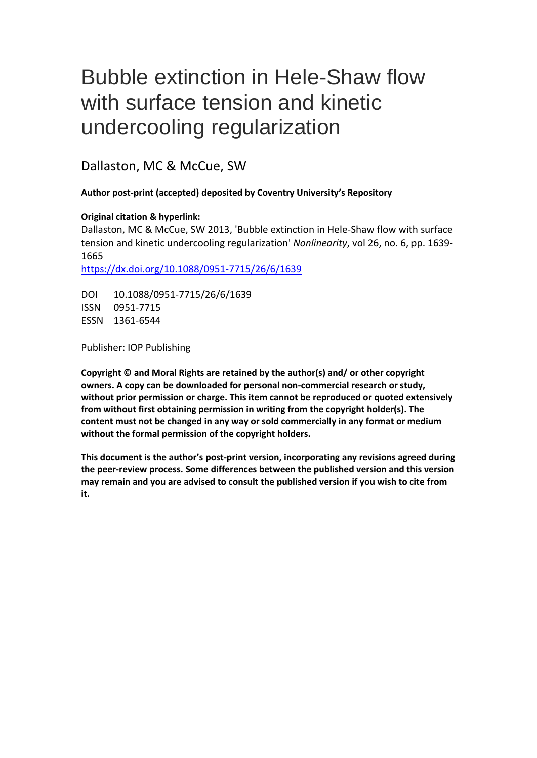# Bubble extinction in Hele-Shaw flow with surface tension and kinetic undercooling regularization

Dallaston, MC & McCue, SW

# **Author post-print (accepted) deposited by Coventry University's Repository**

## **Original citation & hyperlink:**

Dallaston, MC & McCue, SW 2013, 'Bubble extinction in Hele-Shaw flow with surface tension and kinetic undercooling regularization' *Nonlinearity*, vol 26, no. 6, pp. 1639- 1665

<https://dx.doi.org/10.1088/0951-7715/26/6/1639>

DOI 10.1088/0951-7715/26/6/1639 ISSN 0951-7715 ESSN 1361-6544

Publisher: IOP Publishing

**Copyright © and Moral Rights are retained by the author(s) and/ or other copyright owners. A copy can be downloaded for personal non-commercial research or study, without prior permission or charge. This item cannot be reproduced or quoted extensively from without first obtaining permission in writing from the copyright holder(s). The content must not be changed in any way or sold commercially in any format or medium without the formal permission of the copyright holders.** 

**This document is the author's post-print version, incorporating any revisions agreed during the peer-review process. Some differences between the published version and this version may remain and you are advised to consult the published version if you wish to cite from it.**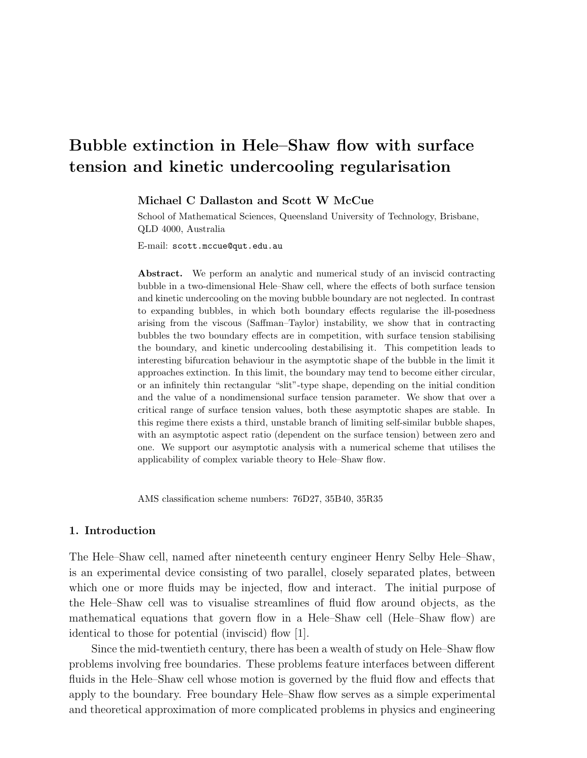# Bubble extinction in Hele–Shaw flow with surface tension and kinetic undercooling regularisation

Michael C Dallaston and Scott W McCue

School of Mathematical Sciences, Queensland University of Technology, Brisbane, QLD 4000, Australia

E-mail: scott.mccue@qut.edu.au

Abstract. We perform an analytic and numerical study of an inviscid contracting bubble in a two-dimensional Hele–Shaw cell, where the effects of both surface tension and kinetic undercooling on the moving bubble boundary are not neglected. In contrast to expanding bubbles, in which both boundary effects regularise the ill-posedness arising from the viscous (Saffman–Taylor) instability, we show that in contracting bubbles the two boundary effects are in competition, with surface tension stabilising the boundary, and kinetic undercooling destabilising it. This competition leads to interesting bifurcation behaviour in the asymptotic shape of the bubble in the limit it approaches extinction. In this limit, the boundary may tend to become either circular, or an infinitely thin rectangular "slit"-type shape, depending on the initial condition and the value of a nondimensional surface tension parameter. We show that over a critical range of surface tension values, both these asymptotic shapes are stable. In this regime there exists a third, unstable branch of limiting self-similar bubble shapes, with an asymptotic aspect ratio (dependent on the surface tension) between zero and one. We support our asymptotic analysis with a numerical scheme that utilises the applicability of complex variable theory to Hele–Shaw flow.

AMS classification scheme numbers: 76D27, 35B40, 35R35

#### 1. Introduction

The Hele–Shaw cell, named after nineteenth century engineer Henry Selby Hele–Shaw, is an experimental device consisting of two parallel, closely separated plates, between which one or more fluids may be injected, flow and interact. The initial purpose of the Hele–Shaw cell was to visualise streamlines of fluid flow around objects, as the mathematical equations that govern flow in a Hele–Shaw cell (Hele–Shaw flow) are identical to those for potential (inviscid) flow [1].

Since the mid-twentieth century, there has been a wealth of study on Hele–Shaw flow problems involving free boundaries. These problems feature interfaces between different fluids in the Hele–Shaw cell whose motion is governed by the fluid flow and effects that apply to the boundary. Free boundary Hele–Shaw flow serves as a simple experimental and theoretical approximation of more complicated problems in physics and engineering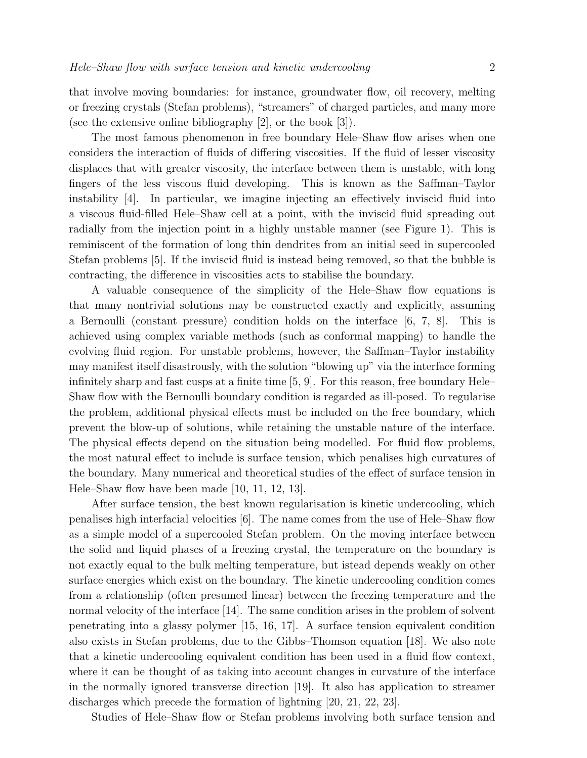that involve moving boundaries: for instance, groundwater flow, oil recovery, melting or freezing crystals (Stefan problems), "streamers" of charged particles, and many more (see the extensive online bibliography [2], or the book [3]).

The most famous phenomenon in free boundary Hele–Shaw flow arises when one considers the interaction of fluids of differing viscosities. If the fluid of lesser viscosity displaces that with greater viscosity, the interface between them is unstable, with long fingers of the less viscous fluid developing. This is known as the Saffman–Taylor instability [4]. In particular, we imagine injecting an effectively inviscid fluid into a viscous fluid-filled Hele–Shaw cell at a point, with the inviscid fluid spreading out radially from the injection point in a highly unstable manner (see Figure 1). This is reminiscent of the formation of long thin dendrites from an initial seed in supercooled Stefan problems [5]. If the inviscid fluid is instead being removed, so that the bubble is contracting, the difference in viscosities acts to stabilise the boundary.

A valuable consequence of the simplicity of the Hele–Shaw flow equations is that many nontrivial solutions may be constructed exactly and explicitly, assuming a Bernoulli (constant pressure) condition holds on the interface [6, 7, 8]. This is achieved using complex variable methods (such as conformal mapping) to handle the evolving fluid region. For unstable problems, however, the Saffman–Taylor instability may manifest itself disastrously, with the solution "blowing up" via the interface forming infinitely sharp and fast cusps at a finite time [5, 9]. For this reason, free boundary Hele– Shaw flow with the Bernoulli boundary condition is regarded as ill-posed. To regularise the problem, additional physical effects must be included on the free boundary, which prevent the blow-up of solutions, while retaining the unstable nature of the interface. The physical effects depend on the situation being modelled. For fluid flow problems, the most natural effect to include is surface tension, which penalises high curvatures of the boundary. Many numerical and theoretical studies of the effect of surface tension in Hele–Shaw flow have been made [10, 11, 12, 13].

After surface tension, the best known regularisation is kinetic undercooling, which penalises high interfacial velocities [6]. The name comes from the use of Hele–Shaw flow as a simple model of a supercooled Stefan problem. On the moving interface between the solid and liquid phases of a freezing crystal, the temperature on the boundary is not exactly equal to the bulk melting temperature, but istead depends weakly on other surface energies which exist on the boundary. The kinetic undercooling condition comes from a relationship (often presumed linear) between the freezing temperature and the normal velocity of the interface [14]. The same condition arises in the problem of solvent penetrating into a glassy polymer [15, 16, 17]. A surface tension equivalent condition also exists in Stefan problems, due to the Gibbs–Thomson equation [18]. We also note that a kinetic undercooling equivalent condition has been used in a fluid flow context, where it can be thought of as taking into account changes in curvature of the interface in the normally ignored transverse direction [19]. It also has application to streamer discharges which precede the formation of lightning [20, 21, 22, 23].

Studies of Hele–Shaw flow or Stefan problems involving both surface tension and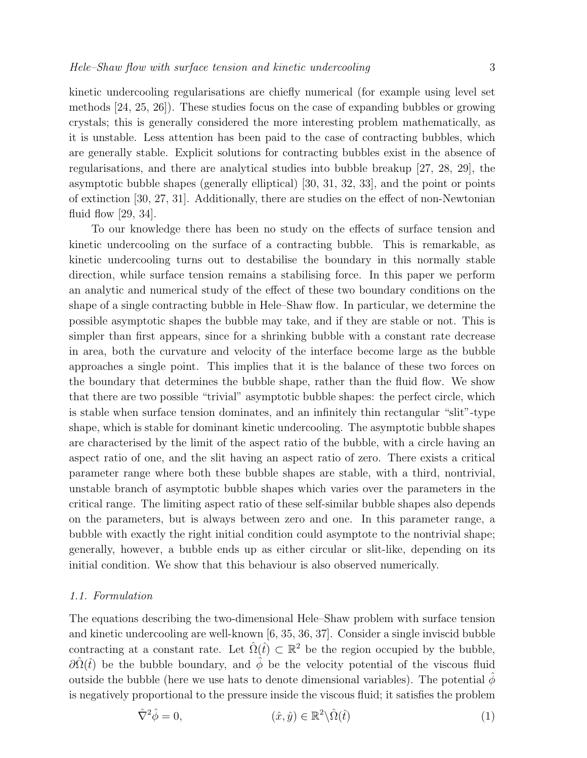kinetic undercooling regularisations are chiefly numerical (for example using level set methods [24, 25, 26]). These studies focus on the case of expanding bubbles or growing crystals; this is generally considered the more interesting problem mathematically, as it is unstable. Less attention has been paid to the case of contracting bubbles, which are generally stable. Explicit solutions for contracting bubbles exist in the absence of regularisations, and there are analytical studies into bubble breakup [27, 28, 29], the asymptotic bubble shapes (generally elliptical) [30, 31, 32, 33], and the point or points of extinction [30, 27, 31]. Additionally, there are studies on the effect of non-Newtonian fluid flow [29, 34].

To our knowledge there has been no study on the effects of surface tension and kinetic undercooling on the surface of a contracting bubble. This is remarkable, as kinetic undercooling turns out to destabilise the boundary in this normally stable direction, while surface tension remains a stabilising force. In this paper we perform an analytic and numerical study of the effect of these two boundary conditions on the shape of a single contracting bubble in Hele–Shaw flow. In particular, we determine the possible asymptotic shapes the bubble may take, and if they are stable or not. This is simpler than first appears, since for a shrinking bubble with a constant rate decrease in area, both the curvature and velocity of the interface become large as the bubble approaches a single point. This implies that it is the balance of these two forces on the boundary that determines the bubble shape, rather than the fluid flow. We show that there are two possible "trivial" asymptotic bubble shapes: the perfect circle, which is stable when surface tension dominates, and an infinitely thin rectangular "slit"-type shape, which is stable for dominant kinetic undercooling. The asymptotic bubble shapes are characterised by the limit of the aspect ratio of the bubble, with a circle having an aspect ratio of one, and the slit having an aspect ratio of zero. There exists a critical parameter range where both these bubble shapes are stable, with a third, nontrivial, unstable branch of asymptotic bubble shapes which varies over the parameters in the critical range. The limiting aspect ratio of these self-similar bubble shapes also depends on the parameters, but is always between zero and one. In this parameter range, a bubble with exactly the right initial condition could asymptote to the nontrivial shape; generally, however, a bubble ends up as either circular or slit-like, depending on its initial condition. We show that this behaviour is also observed numerically.

#### 1.1. Formulation

The equations describing the two-dimensional Hele–Shaw problem with surface tension and kinetic undercooling are well-known [6, 35, 36, 37]. Consider a single inviscid bubble contracting at a constant rate. Let  $\hat{\Omega}(\hat{t}) \subset \mathbb{R}^2$  be the region occupied by the bubble,  $\partial\hat{\Omega}(\hat{t})$  be the bubble boundary, and  $\hat{\phi}$  be the velocity potential of the viscous fluid outside the bubble (here we use hats to denote dimensional variables). The potential  $\phi$ is negatively proportional to the pressure inside the viscous fluid; it satisfies the problem

$$
\hat{\nabla}^2 \hat{\phi} = 0, \qquad (\hat{x}, \hat{y}) \in \mathbb{R}^2 \backslash \hat{\Omega}(\hat{t}) \tag{1}
$$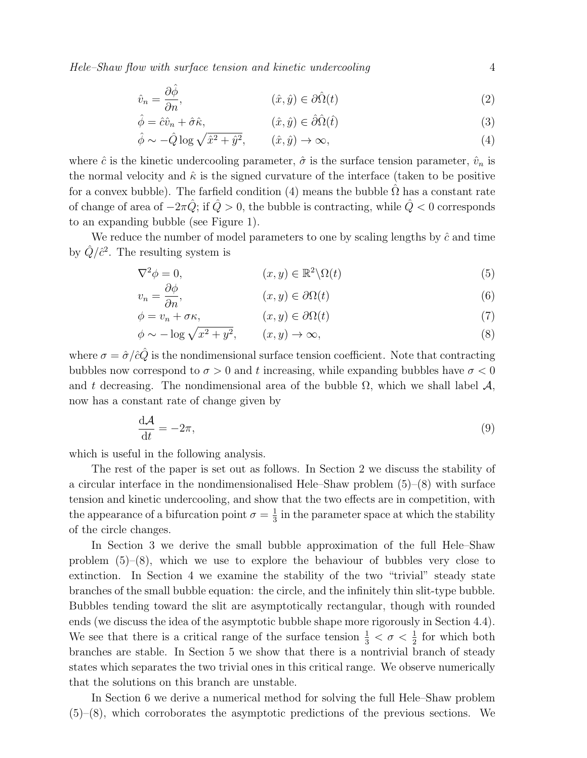Hele–Shaw flow with surface tension and kinetic undercooling 4

$$
\hat{v}_n = \frac{\partial \hat{\phi}}{\partial n}, \qquad (\hat{x}, \hat{y}) \in \partial \hat{\Omega}(t) \tag{2}
$$

$$
\hat{\phi} = \hat{c}\hat{v}_n + \hat{\sigma}\hat{\kappa}, \qquad (\hat{x}, \hat{y}) \in \hat{\partial}\hat{\Omega}(\hat{t}) \tag{3}
$$

$$
\hat{\phi} \sim -\hat{Q} \log \sqrt{\hat{x}^2 + \hat{y}^2}, \qquad (\hat{x}, \hat{y}) \to \infty,
$$
\n(4)

where  $\hat{c}$  is the kinetic undercooling parameter,  $\hat{\sigma}$  is the surface tension parameter,  $\hat{v}_n$  is the normal velocity and  $\hat{\kappa}$  is the signed curvature of the interface (taken to be positive for a convex bubble). The farfield condition (4) means the bubble  $\Omega$  has a constant rate of change of area of  $-2\pi \hat{Q}$ ; if  $\hat{Q} > 0$ , the bubble is contracting, while  $\hat{Q} < 0$  corresponds to an expanding bubble (see Figure 1).

We reduce the number of model parameters to one by scaling lengths by  $\hat{c}$  and time by  $\hat{Q}/\hat{c}^2$ . The resulting system is

$$
\nabla^2 \phi = 0, \qquad (x, y) \in \mathbb{R}^2 \backslash \Omega(t) \tag{5}
$$

$$
v_n = \frac{\partial \phi}{\partial n}, \qquad (x, y) \in \partial \Omega(t) \tag{6}
$$

$$
\phi = v_n + \sigma \kappa, \qquad (x, y) \in \partial \Omega(t) \tag{7}
$$

$$
\phi \sim -\log \sqrt{x^2 + y^2}, \qquad (x, y) \to \infty,
$$
\n(8)

where  $\sigma = \hat{\sigma}/\hat{c}\hat{Q}$  is the nondimensional surface tension coefficient. Note that contracting bubbles now correspond to  $\sigma > 0$  and t increasing, while expanding bubbles have  $\sigma < 0$ and t decreasing. The nondimensional area of the bubble  $\Omega$ , which we shall label  $\mathcal{A}$ , now has a constant rate of change given by

$$
\frac{\mathrm{d}\mathcal{A}}{\mathrm{d}t} = -2\pi,\tag{9}
$$

which is useful in the following analysis.

The rest of the paper is set out as follows. In Section 2 we discuss the stability of a circular interface in the nondimensionalised Hele–Shaw problem (5)–(8) with surface tension and kinetic undercooling, and show that the two effects are in competition, with the appearance of a bifurcation point  $\sigma = \frac{1}{3}$  $\frac{1}{3}$  in the parameter space at which the stability of the circle changes.

In Section 3 we derive the small bubble approximation of the full Hele–Shaw problem (5)–(8), which we use to explore the behaviour of bubbles very close to extinction. In Section 4 we examine the stability of the two "trivial" steady state branches of the small bubble equation: the circle, and the infinitely thin slit-type bubble. Bubbles tending toward the slit are asymptotically rectangular, though with rounded ends (we discuss the idea of the asymptotic bubble shape more rigorously in Section 4.4). We see that there is a critical range of the surface tension  $\frac{1}{3} < \sigma < \frac{1}{2}$  for which both branches are stable. In Section 5 we show that there is a nontrivial branch of steady states which separates the two trivial ones in this critical range. We observe numerically that the solutions on this branch are unstable.

In Section 6 we derive a numerical method for solving the full Hele–Shaw problem  $(5)-(8)$ , which corroborates the asymptotic predictions of the previous sections. We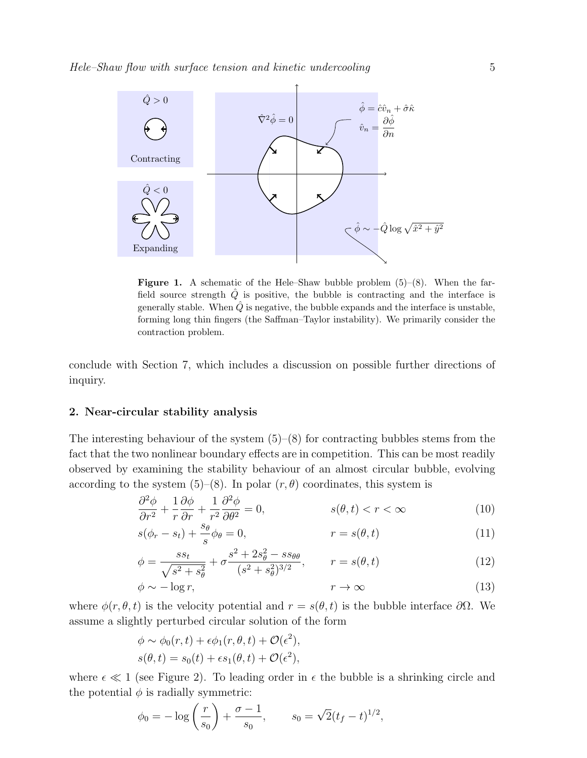

**Figure 1.** A schematic of the Hele–Shaw bubble problem  $(5)-(8)$ . When the farfield source strength  $\hat{Q}$  is positive, the bubble is contracting and the interface is generally stable. When  $\hat{Q}$  is negative, the bubble expands and the interface is unstable, forming long thin fingers (the Saffman–Taylor instability). We primarily consider the contraction problem.

conclude with Section 7, which includes a discussion on possible further directions of inquiry.

#### 2. Near-circular stability analysis

The interesting behaviour of the system  $(5)$ – $(8)$  for contracting bubbles stems from the fact that the two nonlinear boundary effects are in competition. This can be most readily observed by examining the stability behaviour of an almost circular bubble, evolving according to the system (5)–(8). In polar  $(r, \theta)$  coordinates, this system is

$$
\frac{\partial^2 \phi}{\partial r^2} + \frac{1}{r} \frac{\partial \phi}{\partial r} + \frac{1}{r^2} \frac{\partial^2 \phi}{\partial \theta^2} = 0, \qquad s(\theta, t) < r < \infty \tag{10}
$$

$$
s(\phi_r - s_t) + \frac{s_\theta}{s}\phi_\theta = 0, \qquad r = s(\theta, t) \tag{11}
$$

$$
\phi = \frac{ss_t}{\sqrt{s^2 + s_\theta^2}} + \sigma \frac{s^2 + 2s_\theta^2 - ss_{\theta\theta}}{(s^2 + s_\theta^2)^{3/2}}, \qquad r = s(\theta, t)
$$
\n(12)

$$
\phi \sim -\log r,\tag{13}
$$

where  $\phi(r, \theta, t)$  is the velocity potential and  $r = s(\theta, t)$  is the bubble interface  $\partial\Omega$ . We assume a slightly perturbed circular solution of the form

$$
\phi \sim \phi_0(r, t) + \epsilon \phi_1(r, \theta, t) + \mathcal{O}(\epsilon^2),
$$
  

$$
s(\theta, t) = s_0(t) + \epsilon s_1(\theta, t) + \mathcal{O}(\epsilon^2),
$$

where  $\epsilon \ll 1$  (see Figure 2). To leading order in  $\epsilon$  the bubble is a shrinking circle and the potential  $\phi$  is radially symmetric:

$$
\phi_0 = -\log\left(\frac{r}{s_0}\right) + \frac{\sigma - 1}{s_0}, \qquad s_0 = \sqrt{2}(t_f - t)^{1/2},
$$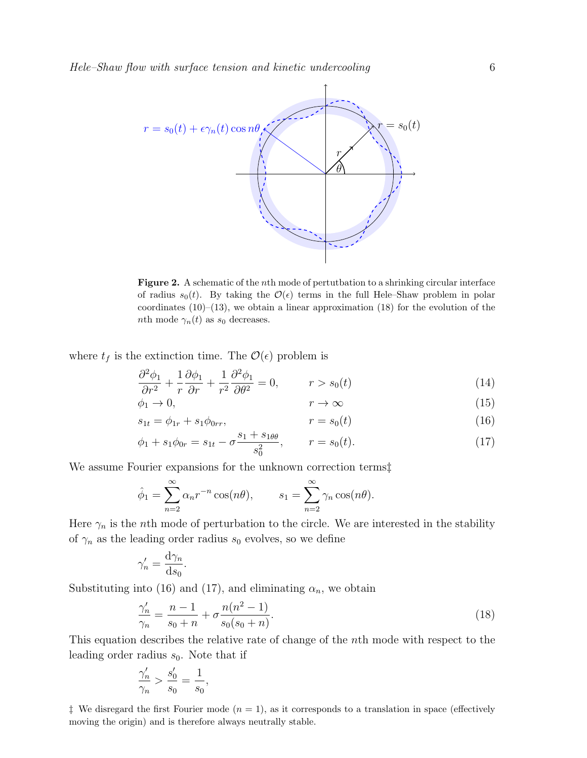

Figure 2. A schematic of the *n*th mode of perturbation to a shrinking circular interface of radius  $s_0(t)$ . By taking the  $\mathcal{O}(\epsilon)$  terms in the full Hele–Shaw problem in polar coordinates  $(10)$ – $(13)$ , we obtain a linear approximation  $(18)$  for the evolution of the nth mode  $\gamma_n(t)$  as  $s_0$  decreases.

where  $t_f$  is the extinction time. The  $\mathcal{O}(\epsilon)$  problem is

$$
\frac{\partial^2 \phi_1}{\partial r^2} + \frac{1}{r} \frac{\partial \phi_1}{\partial r} + \frac{1}{r^2} \frac{\partial^2 \phi_1}{\partial \theta^2} = 0, \qquad r > s_0(t)
$$
\n(14)

$$
\phi_1 \to 0, \qquad \qquad r \to \infty \tag{15}
$$

$$
s_{1t} = \phi_{1r} + s_1 \phi_{0rr}, \qquad \qquad r = s_0(t) \tag{16}
$$

$$
\phi_1 + s_1 \phi_{0r} = s_{1t} - \sigma \frac{s_1 + s_{1\theta\theta}}{s_0^2}, \qquad r = s_0(t). \tag{17}
$$

We assume Fourier expansions for the unknown correction terms‡

$$
\hat{\phi}_1 = \sum_{n=2}^{\infty} \alpha_n r^{-n} \cos(n\theta), \qquad s_1 = \sum_{n=2}^{\infty} \gamma_n \cos(n\theta).
$$

Here  $\gamma_n$  is the *n*th mode of perturbation to the circle. We are interested in the stability of  $\gamma_n$  as the leading order radius  $s_0$  evolves, so we define

$$
\gamma_n' = \frac{\mathrm{d}\gamma_n}{\mathrm{d}s_0}.
$$

Substituting into (16) and (17), and eliminating  $\alpha_n$ , we obtain

$$
\frac{\gamma_n'}{\gamma_n} = \frac{n-1}{s_0 + n} + \sigma \frac{n(n^2 - 1)}{s_0(s_0 + n)}.
$$
\n(18)

This equation describes the relative rate of change of the nth mode with respect to the leading order radius  $s_0$ . Note that if

$$
\frac{\gamma'_n}{\gamma_n} > \frac{s'_0}{s_0} = \frac{1}{s_0},
$$

<sup> $\ddagger$ </sup> We disregard the first Fourier mode ( $n = 1$ ), as it corresponds to a translation in space (effectively moving the origin) and is therefore always neutrally stable.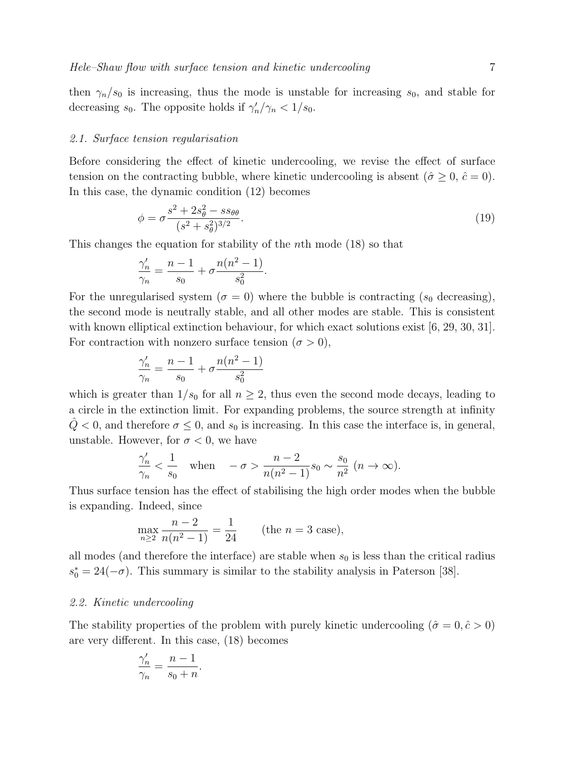then  $\gamma_n/s_0$  is increasing, thus the mode is unstable for increasing  $s_0$ , and stable for decreasing  $s_0$ . The opposite holds if  $\gamma'_n/\gamma_n < 1/s_0$ .

#### 2.1. Surface tension regularisation

Before considering the effect of kinetic undercooling, we revise the effect of surface tension on the contracting bubble, where kinetic undercooling is absent  $(\hat{\sigma} \geq 0, \hat{c} = 0)$ . In this case, the dynamic condition (12) becomes

$$
\phi = \sigma \frac{s^2 + 2s_\theta^2 - ss_{\theta\theta}}{(s^2 + s_\theta^2)^{3/2}}.
$$
\n(19)

This changes the equation for stability of the nth mode (18) so that

$$
\frac{\gamma_n'}{\gamma_n} = \frac{n-1}{s_0} + \sigma \frac{n(n^2-1)}{s_0^2}.
$$

For the unregularised system ( $\sigma = 0$ ) where the bubble is contracting ( $s_0$  decreasing), the second mode is neutrally stable, and all other modes are stable. This is consistent with known elliptical extinction behaviour, for which exact solutions exist [6, 29, 30, 31]. For contraction with nonzero surface tension  $(\sigma > 0)$ ,

$$
\frac{\gamma_n'}{\gamma_n} = \frac{n-1}{s_0} + \sigma \frac{n(n^2-1)}{s_0^2}
$$

which is greater than  $1/s_0$  for all  $n \geq 2$ , thus even the second mode decays, leading to a circle in the extinction limit. For expanding problems, the source strength at infinity  $Q < 0$ , and therefore  $\sigma \leq 0$ , and  $s_0$  is increasing. In this case the interface is, in general, unstable. However, for  $\sigma < 0$ , we have

$$
\frac{\gamma_n'}{\gamma_n} < \frac{1}{s_0} \quad \text{when} \quad -\sigma > \frac{n-2}{n(n^2-1)} s_0 \sim \frac{s_0}{n^2} \ (n \to \infty).
$$

Thus surface tension has the effect of stabilising the high order modes when the bubble is expanding. Indeed, since

$$
\max_{n\geq 2} \frac{n-2}{n(n^2-1)} = \frac{1}{24}
$$
 (the  $n = 3$  case),

all modes (and therefore the interface) are stable when  $s_0$  is less than the critical radius  $s_0^* = 24(-\sigma)$ . This summary is similar to the stability analysis in Paterson [38].

#### 2.2. Kinetic undercooling

The stability properties of the problem with purely kinetic undercooling  $(\hat{\sigma} = 0, \hat{c} > 0)$ are very different. In this case, (18) becomes

$$
\frac{\gamma'_n}{\gamma_n} = \frac{n-1}{s_0 + n}.
$$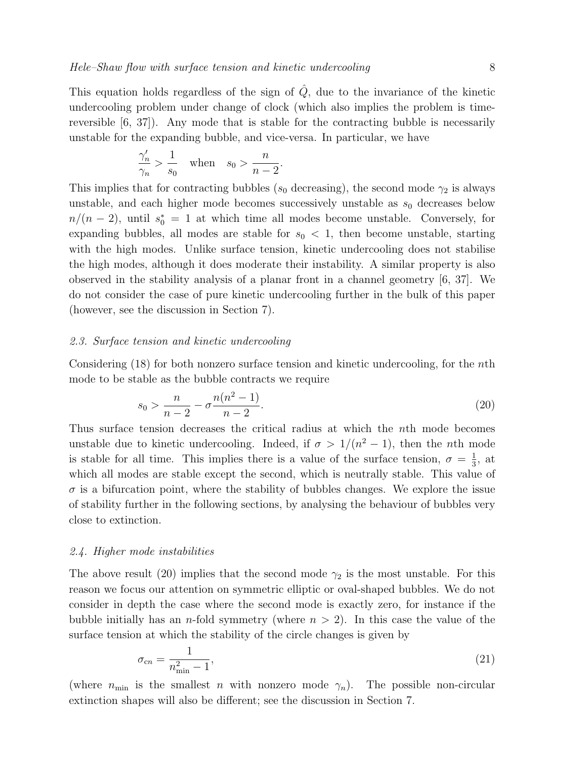This equation holds regardless of the sign of  $\hat{Q}$ , due to the invariance of the kinetic undercooling problem under change of clock (which also implies the problem is timereversible  $[6, 37]$ . Any mode that is stable for the contracting bubble is necessarily unstable for the expanding bubble, and vice-versa. In particular, we have

$$
\frac{\gamma_n'}{\gamma_n} > \frac{1}{s_0} \quad \text{when} \quad s_0 > \frac{n}{n-2}.
$$

This implies that for contracting bubbles ( $s_0$  decreasing), the second mode  $\gamma_2$  is always unstable, and each higher mode becomes successively unstable as  $s_0$  decreases below  $n/(n-2)$ , until  $s_0^* = 1$  at which time all modes become unstable. Conversely, for expanding bubbles, all modes are stable for  $s_0 < 1$ , then become unstable, starting with the high modes. Unlike surface tension, kinetic undercooling does not stabilise the high modes, although it does moderate their instability. A similar property is also observed in the stability analysis of a planar front in a channel geometry [6, 37]. We do not consider the case of pure kinetic undercooling further in the bulk of this paper (however, see the discussion in Section 7).

#### 2.3. Surface tension and kinetic undercooling

Considering  $(18)$  for both nonzero surface tension and kinetic undercooling, for the *n*th mode to be stable as the bubble contracts we require

$$
s_0 > \frac{n}{n-2} - \sigma \frac{n(n^2 - 1)}{n-2}.
$$
\n(20)

Thus surface tension decreases the critical radius at which the nth mode becomes unstable due to kinetic undercooling. Indeed, if  $\sigma > 1/(n^2 - 1)$ , then the *n*th mode is stable for all time. This implies there is a value of the surface tension,  $\sigma = \frac{1}{3}$  $\frac{1}{3}$ , at which all modes are stable except the second, which is neutrally stable. This value of  $\sigma$  is a bifurcation point, where the stability of bubbles changes. We explore the issue of stability further in the following sections, by analysing the behaviour of bubbles very close to extinction.

#### 2.4. Higher mode instabilities

The above result (20) implies that the second mode  $\gamma_2$  is the most unstable. For this reason we focus our attention on symmetric elliptic or oval-shaped bubbles. We do not consider in depth the case where the second mode is exactly zero, for instance if the bubble initially has an *n*-fold symmetry (where  $n > 2$ ). In this case the value of the surface tension at which the stability of the circle changes is given by

$$
\sigma_{cn} = \frac{1}{n_{\min}^2 - 1},\tag{21}
$$

(where  $n_{\min}$  is the smallest n with nonzero mode  $\gamma_n$ ). The possible non-circular extinction shapes will also be different; see the discussion in Section 7.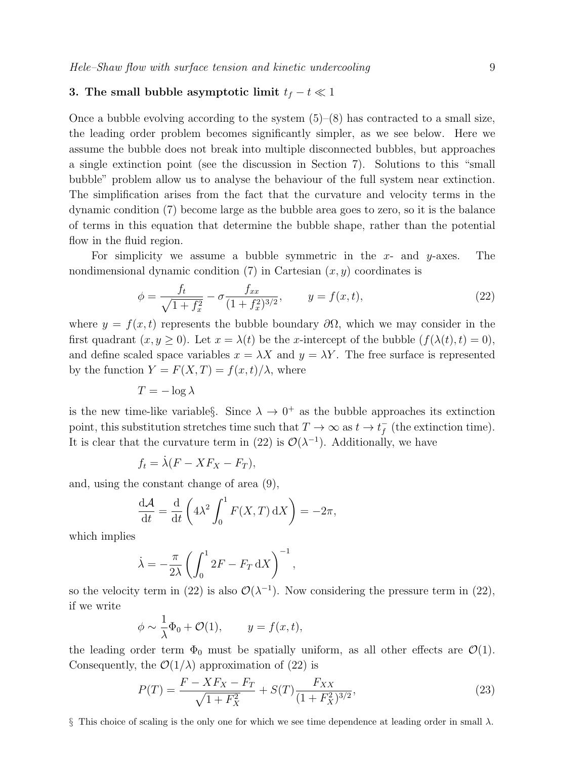#### 3. The small bubble asymptotic limit  $t_f - t \ll 1$

Once a bubble evolving according to the system  $(5)-(8)$  has contracted to a small size, the leading order problem becomes significantly simpler, as we see below. Here we assume the bubble does not break into multiple disconnected bubbles, but approaches a single extinction point (see the discussion in Section 7). Solutions to this "small bubble" problem allow us to analyse the behaviour of the full system near extinction. The simplification arises from the fact that the curvature and velocity terms in the dynamic condition (7) become large as the bubble area goes to zero, so it is the balance of terms in this equation that determine the bubble shape, rather than the potential flow in the fluid region.

For simplicity we assume a bubble symmetric in the  $x$ - and  $y$ -axes. The nondimensional dynamic condition  $(7)$  in Cartesian  $(x, y)$  coordinates is

$$
\phi = \frac{f_t}{\sqrt{1 + f_x^2}} - \sigma \frac{f_{xx}}{(1 + f_x^2)^{3/2}}, \qquad y = f(x, t), \tag{22}
$$

where  $y = f(x, t)$  represents the bubble boundary  $\partial\Omega$ , which we may consider in the first quadrant  $(x, y \ge 0)$ . Let  $x = \lambda(t)$  be the x-intercept of the bubble  $(f(\lambda(t), t) = 0)$ , and define scaled space variables  $x = \lambda X$  and  $y = \lambda Y$ . The free surface is represented by the function  $Y = F(X,T) = f(x,t)/\lambda$ , where

$$
T = -\log \lambda
$$

is the new time-like variable §. Since  $\lambda \to 0^+$  as the bubble approaches its extinction point, this substitution stretches time such that  $T \to \infty$  as  $t \to t_f^$  $f(t)$  (the extinction time). It is clear that the curvature term in (22) is  $\mathcal{O}(\lambda^{-1})$ . Additionally, we have

$$
f_t = \dot{\lambda}(F - XF_X - F_T),
$$

and, using the constant change of area (9),

$$
\frac{\mathrm{d}\mathcal{A}}{\mathrm{d}t} = \frac{\mathrm{d}}{\mathrm{d}t} \left( 4\lambda^2 \int_0^1 F(X,T) \, \mathrm{d}X \right) = -2\pi,
$$

which implies

$$
\dot{\lambda} = -\frac{\pi}{2\lambda} \left( \int_0^1 2F - F_T \, \mathrm{d}X \right)^{-1},
$$

so the velocity term in (22) is also  $\mathcal{O}(\lambda^{-1})$ . Now considering the pressure term in (22), if we write

$$
\phi \sim \frac{1}{\lambda} \Phi_0 + \mathcal{O}(1), \qquad y = f(x, t),
$$

the leading order term  $\Phi_0$  must be spatially uniform, as all other effects are  $\mathcal{O}(1)$ . Consequently, the  $\mathcal{O}(1/\lambda)$  approximation of (22) is

$$
P(T) = \frac{F - XF_X - F_T}{\sqrt{1 + F_X^2}} + S(T) \frac{F_{XX}}{(1 + F_X^2)^{3/2}},
$$
\n(23)

§ This choice of scaling is the only one for which we see time dependence at leading order in small  $\lambda$ .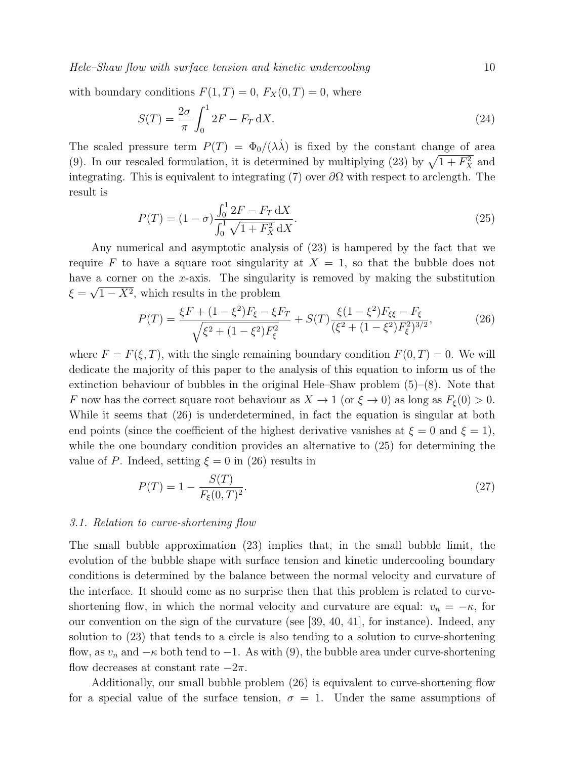Hele–Shaw flow with surface tension and kinetic undercooling 10

with boundary conditions  $F(1, T) = 0$ ,  $F_X(0, T) = 0$ , where

$$
S(T) = \frac{2\sigma}{\pi} \int_0^1 2F - F_T \, \mathrm{d}X. \tag{24}
$$

The scaled pressure term  $P(T) = \Phi_0/(\lambda \lambda)$  is fixed by the constant change of area (9). In our rescaled formulation, it is determined by multiplying (23) by  $\sqrt{1 + F_X^2}$  and integrating. This is equivalent to integrating (7) over  $\partial\Omega$  with respect to arclength. The result is

$$
P(T) = (1 - \sigma) \frac{\int_0^1 2F - F_T \, dX}{\int_0^1 \sqrt{1 + F_X^2} \, dX}.
$$
\n(25)

Any numerical and asymptotic analysis of (23) is hampered by the fact that we require F to have a square root singularity at  $X = 1$ , so that the bubble does not have a corner on the x-axis. The singularity is removed by making the substitution  $\xi = \sqrt{1 - X^2}$ , which results in the problem

$$
P(T) = \frac{\xi F + (1 - \xi^2)F_{\xi} - \xi F_T}{\sqrt{\xi^2 + (1 - \xi^2)F_{\xi}^2}} + S(T) \frac{\xi (1 - \xi^2)F_{\xi\xi} - F_{\xi}}{(\xi^2 + (1 - \xi^2)F_{\xi}^2)^{3/2}},
$$
(26)

where  $F = F(\xi, T)$ , with the single remaining boundary condition  $F(0, T) = 0$ . We will dedicate the majority of this paper to the analysis of this equation to inform us of the extinction behaviour of bubbles in the original Hele–Shaw problem (5)–(8). Note that F now has the correct square root behaviour as  $X \to 1$  (or  $\xi \to 0$ ) as long as  $F_{\xi}(0) > 0$ . While it seems that (26) is underdetermined, in fact the equation is singular at both end points (since the coefficient of the highest derivative vanishes at  $\xi = 0$  and  $\xi = 1$ ), while the one boundary condition provides an alternative to (25) for determining the value of P. Indeed, setting  $\xi = 0$  in (26) results in

$$
P(T) = 1 - \frac{S(T)}{F_{\xi}(0, T)^{2}}.
$$
\n(27)

#### 3.1. Relation to curve-shortening flow

The small bubble approximation (23) implies that, in the small bubble limit, the evolution of the bubble shape with surface tension and kinetic undercooling boundary conditions is determined by the balance between the normal velocity and curvature of the interface. It should come as no surprise then that this problem is related to curveshortening flow, in which the normal velocity and curvature are equal:  $v_n = -\kappa$ , for our convention on the sign of the curvature (see [39, 40, 41], for instance). Indeed, any solution to (23) that tends to a circle is also tending to a solution to curve-shortening flow, as  $v_n$  and  $-\kappa$  both tend to  $-1$ . As with (9), the bubble area under curve-shortening flow decreases at constant rate  $-2\pi$ .

Additionally, our small bubble problem (26) is equivalent to curve-shortening flow for a special value of the surface tension,  $\sigma = 1$ . Under the same assumptions of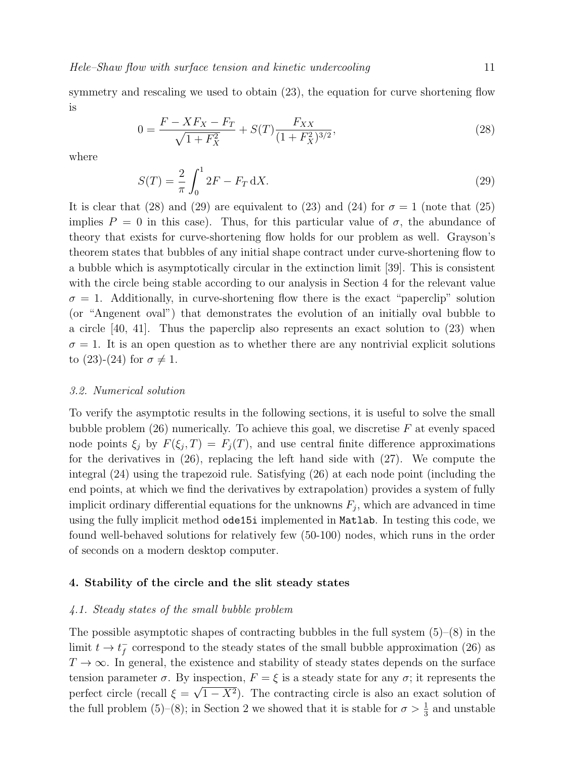symmetry and rescaling we used to obtain  $(23)$ , the equation for curve shortening flow is

$$
0 = \frac{F - XF_X - F_T}{\sqrt{1 + F_X^2}} + S(T) \frac{F_{XX}}{(1 + F_X^2)^{3/2}},
$$
\n(28)

where

$$
S(T) = \frac{2}{\pi} \int_0^1 2F - F_T \, \mathrm{d}X. \tag{29}
$$

It is clear that (28) and (29) are equivalent to (23) and (24) for  $\sigma = 1$  (note that (25) implies  $P = 0$  in this case). Thus, for this particular value of  $\sigma$ , the abundance of theory that exists for curve-shortening flow holds for our problem as well. Grayson's theorem states that bubbles of any initial shape contract under curve-shortening flow to a bubble which is asymptotically circular in the extinction limit [39]. This is consistent with the circle being stable according to our analysis in Section 4 for the relevant value  $\sigma = 1$ . Additionally, in curve-shortening flow there is the exact "paperclip" solution (or "Angenent oval") that demonstrates the evolution of an initially oval bubble to a circle [40, 41]. Thus the paperclip also represents an exact solution to (23) when  $\sigma = 1$ . It is an open question as to whether there are any nontrivial explicit solutions to  $(23)-(24)$  for  $\sigma \neq 1$ .

#### 3.2. Numerical solution

To verify the asymptotic results in the following sections, it is useful to solve the small bubble problem  $(26)$  numerically. To achieve this goal, we discretise F at evenly spaced node points  $\xi_j$  by  $F(\xi_j,T) = F_j(T)$ , and use central finite difference approximations for the derivatives in (26), replacing the left hand side with (27). We compute the integral (24) using the trapezoid rule. Satisfying (26) at each node point (including the end points, at which we find the derivatives by extrapolation) provides a system of fully implicit ordinary differential equations for the unknowns  $F_j$ , which are advanced in time using the fully implicit method ode15i implemented in Matlab. In testing this code, we found well-behaved solutions for relatively few (50-100) nodes, which runs in the order of seconds on a modern desktop computer.

#### 4. Stability of the circle and the slit steady states

#### 4.1. Steady states of the small bubble problem

The possible asymptotic shapes of contracting bubbles in the full system  $(5)-(8)$  in the limit  $t \to t_f^$  $f$  correspond to the steady states of the small bubble approximation (26) as  $T \to \infty$ . In general, the existence and stability of steady states depends on the surface tension parameter  $\sigma$ . By inspection,  $F = \xi$  is a steady state for any  $\sigma$ ; it represents the perfect circle (recall  $\xi = \sqrt{1 - X^2}$ ). The contracting circle is also an exact solution of the full problem (5)–(8); in Section 2 we showed that it is stable for  $\sigma > \frac{1}{3}$  and unstable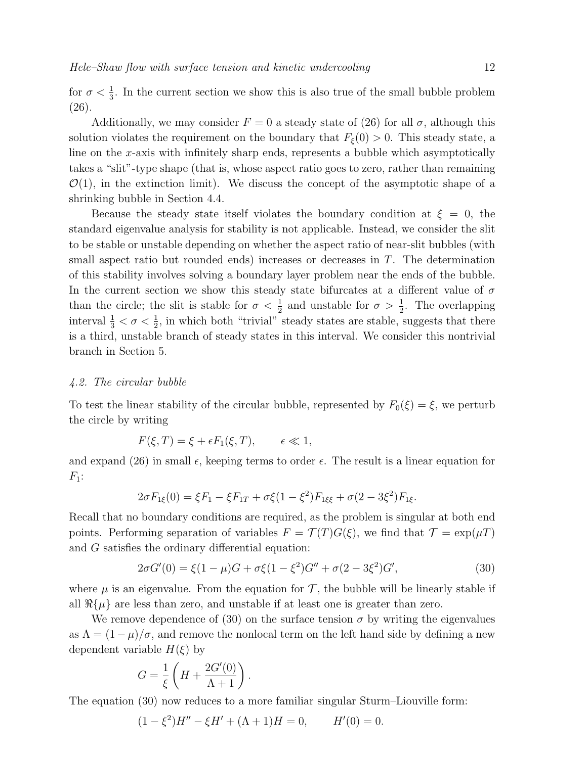Additionally, we may consider  $F = 0$  a steady state of (26) for all  $\sigma$ , although this solution violates the requirement on the boundary that  $F_{\xi}(0) > 0$ . This steady state, a line on the x-axis with infinitely sharp ends, represents a bubble which asymptotically takes a "slit"-type shape (that is, whose aspect ratio goes to zero, rather than remaining  $\mathcal{O}(1)$ , in the extinction limit). We discuss the concept of the asymptotic shape of a shrinking bubble in Section 4.4.

Because the steady state itself violates the boundary condition at  $\xi = 0$ , the standard eigenvalue analysis for stability is not applicable. Instead, we consider the slit to be stable or unstable depending on whether the aspect ratio of near-slit bubbles (with small aspect ratio but rounded ends) increases or decreases in T. The determination of this stability involves solving a boundary layer problem near the ends of the bubble. In the current section we show this steady state bifurcates at a different value of  $\sigma$ than the circle; the slit is stable for  $\sigma < \frac{1}{2}$  and unstable for  $\sigma > \frac{1}{2}$ . The overlapping interval  $\frac{1}{3} < \sigma < \frac{1}{2}$ , in which both "trivial" steady states are stable, suggests that there is a third, unstable branch of steady states in this interval. We consider this nontrivial branch in Section 5.

#### 4.2. The circular bubble

To test the linear stability of the circular bubble, represented by  $F_0(\xi) = \xi$ , we perturb the circle by writing

$$
F(\xi, T) = \xi + \epsilon F_1(\xi, T), \qquad \epsilon \ll 1,
$$

and expand (26) in small  $\epsilon$ , keeping terms to order  $\epsilon$ . The result is a linear equation for  $F_1$ :

$$
2\sigma F_{1\xi}(0) = \xi F_1 - \xi F_{1T} + \sigma \xi (1 - \xi^2) F_{1\xi\xi} + \sigma (2 - 3\xi^2) F_{1\xi}.
$$

Recall that no boundary conditions are required, as the problem is singular at both end points. Performing separation of variables  $F = \mathcal{T}(T)G(\xi)$ , we find that  $\mathcal{T} = \exp(\mu T)$ and G satisfies the ordinary differential equation:

$$
2\sigma G'(0) = \xi (1 - \mu)G + \sigma \xi (1 - \xi^2)G'' + \sigma (2 - 3\xi^2)G',
$$
\n(30)

where  $\mu$  is an eigenvalue. From the equation for  $\mathcal{T}$ , the bubble will be linearly stable if all  $\Re\{\mu\}$  are less than zero, and unstable if at least one is greater than zero.

We remove dependence of (30) on the surface tension  $\sigma$  by writing the eigenvalues as  $\Lambda = (1 - \mu)/\sigma$ , and remove the nonlocal term on the left hand side by defining a new dependent variable  $H(\xi)$  by

$$
G = \frac{1}{\xi} \left( H + \frac{2G'(0)}{\Lambda + 1} \right).
$$

The equation (30) now reduces to a more familiar singular Sturm–Liouville form:

$$
(1 - \xi^2)H'' - \xi H' + (\Lambda + 1)H = 0, \qquad H'(0) = 0.
$$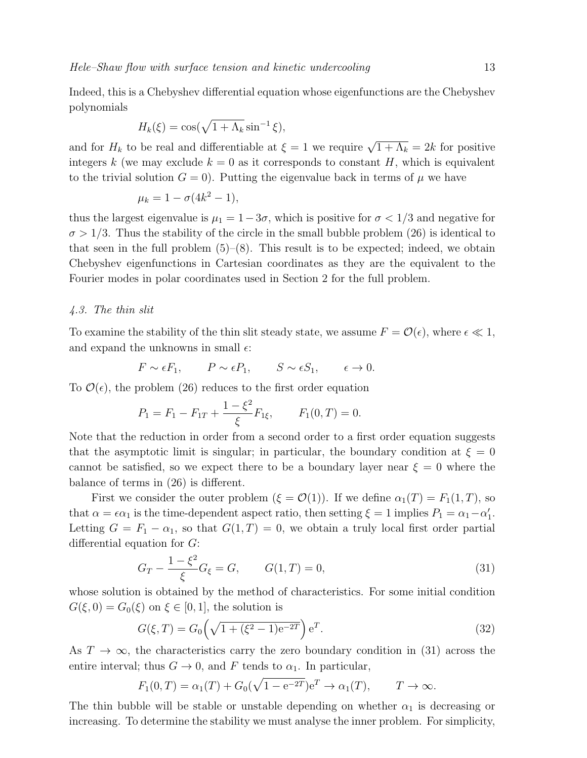Indeed, this is a Chebyshev differential equation whose eigenfunctions are the Chebyshev polynomials

$$
H_k(\xi) = \cos(\sqrt{1 + \Lambda_k} \sin^{-1} \xi),
$$

and for  $H_k$  to be real and differentiable at  $\xi = 1$  we require  $\sqrt{1 + \Lambda_k} = 2k$  for positive integers k (we may exclude  $k = 0$  as it corresponds to constant H, which is equivalent to the trivial solution  $G = 0$ . Putting the eigenvalue back in terms of  $\mu$  we have

$$
\mu_k = 1 - \sigma(4k^2 - 1),
$$

thus the largest eigenvalue is  $\mu_1 = 1-3\sigma$ , which is positive for  $\sigma < 1/3$  and negative for  $\sigma > 1/3$ . Thus the stability of the circle in the small bubble problem (26) is identical to that seen in the full problem  $(5)-(8)$ . This result is to be expected; indeed, we obtain Chebyshev eigenfunctions in Cartesian coordinates as they are the equivalent to the Fourier modes in polar coordinates used in Section 2 for the full problem.

#### 4.3. The thin slit

To examine the stability of the thin slit steady state, we assume  $F = \mathcal{O}(\epsilon)$ , where  $\epsilon \ll 1$ , and expand the unknowns in small  $\epsilon$ :

$$
F \sim \epsilon F_1
$$
,  $P \sim \epsilon P_1$ ,  $S \sim \epsilon S_1$ ,  $\epsilon \to 0$ .

To  $\mathcal{O}(\epsilon)$ , the problem (26) reduces to the first order equation

$$
P_1 = F_1 - F_{1T} + \frac{1 - \xi^2}{\xi} F_{1\xi}, \qquad F_1(0, T) = 0.
$$

Note that the reduction in order from a second order to a first order equation suggests that the asymptotic limit is singular; in particular, the boundary condition at  $\xi = 0$ cannot be satisfied, so we expect there to be a boundary layer near  $\xi = 0$  where the balance of terms in (26) is different.

First we consider the outer problem  $(\xi = \mathcal{O}(1))$ . If we define  $\alpha_1(T) = F_1(1,T)$ , so that  $\alpha = \epsilon \alpha_1$  is the time-dependent aspect ratio, then setting  $\xi = 1$  implies  $P_1 = \alpha_1 - \alpha'_1$ . Letting  $G = F_1 - \alpha_1$ , so that  $G(1,T) = 0$ , we obtain a truly local first order partial differential equation for G:

$$
G_T - \frac{1 - \xi^2}{\xi} G_{\xi} = G, \qquad G(1, T) = 0,
$$
\n(31)

whose solution is obtained by the method of characteristics. For some initial condition  $G(\xi, 0) = G_0(\xi)$  on  $\xi \in [0, 1]$ , the solution is

$$
G(\xi, T) = G_0 \left( \sqrt{1 + (\xi^2 - 1)e^{-2T}} \right) e^T.
$$
 (32)

As  $T \to \infty$ , the characteristics carry the zero boundary condition in (31) across the entire interval; thus  $G \to 0$ , and F tends to  $\alpha_1$ . In particular,

 $F_1(0,T) = \alpha_1(T) + G_0(\sqrt{1 - e^{-2T}})e^T \to \alpha_1(T), \qquad T \to \infty.$ 

The thin bubble will be stable or unstable depending on whether  $\alpha_1$  is decreasing or increasing. To determine the stability we must analyse the inner problem. For simplicity,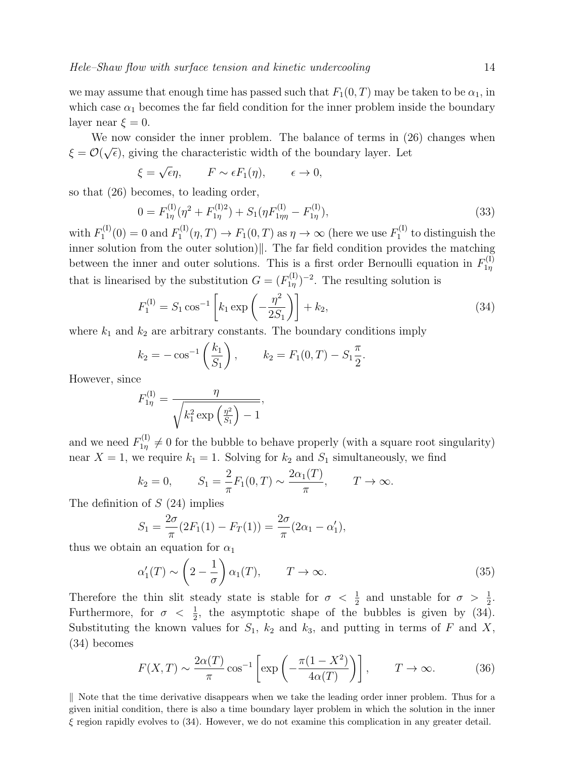we may assume that enough time has passed such that  $F_1(0, T)$  may be taken to be  $\alpha_1$ , in which case  $\alpha_1$  becomes the far field condition for the inner problem inside the boundary layer near  $\xi = 0$ .

We now consider the inner problem. The balance of terms in (26) changes when  $\xi = \mathcal{O}(\sqrt{\epsilon})$ , giving the characteristic width of the boundary layer. Let

$$
\xi = \sqrt{\epsilon} \eta
$$
,  $F \sim \epsilon F_1(\eta)$ ,  $\epsilon \to 0$ ,

so that (26) becomes, to leading order,

$$
0 = F_{1\eta}^{(I)}(\eta^2 + F_{1\eta}^{(I)2}) + S_1(\eta F_{1\eta\eta}^{(I)} - F_{1\eta}^{(I)}),
$$
\n(33)

with  $F_1^{(I)}$  $T_1^{(I)}(0) = 0$  and  $F_1^{(I)}$  $T_1^{(1)}(\eta,T) \to F_1(0,T)$  as  $\eta \to \infty$  (here we use  $F_1^{(1)}$ )  $t_1^{(1)}$  to distinguish the inner solution from the outer solution) $\Vert$ . The far field condition provides the matching between the inner and outer solutions. This is a first order Bernoulli equation in  $F_{1n}^{(1)}$  $1<sub>η</sub>$ that is linearised by the substitution  $G = (F_{1n}^{(1)})$  $\int_{1\eta}^{(1)}$ )<sup>-2</sup>. The resulting solution is

$$
F_1^{(1)} = S_1 \cos^{-1} \left[ k_1 \exp \left( -\frac{\eta^2}{2S_1} \right) \right] + k_2,
$$
\n(34)

where  $k_1$  and  $k_2$  are arbitrary constants. The boundary conditions imply

$$
k_2 = -\cos^{-1}\left(\frac{k_1}{S_1}\right)
$$
,  $k_2 = F_1(0,T) - S_1\frac{\pi}{2}$ .

However, since

$$
F_{1\eta}^{(1)} = \frac{\eta}{\sqrt{k_1^2 \exp\left(\frac{\eta^2}{S_1}\right) - 1}},
$$

and we need  $F_{1\eta}^{(1)} \neq 0$  for the bubble to behave properly (with a square root singularity) near  $X = 1$ , we require  $k_1 = 1$ . Solving for  $k_2$  and  $S_1$  simultaneously, we find

$$
k_2 = 0,
$$
  $S_1 = \frac{2}{\pi} F_1(0, T) \sim \frac{2\alpha_1(T)}{\pi},$   $T \to \infty.$ 

The definition of  $S(24)$  implies

$$
S_1 = \frac{2\sigma}{\pi} (2F_1(1) - F_T(1)) = \frac{2\sigma}{\pi} (2\alpha_1 - \alpha'_1),
$$

thus we obtain an equation for  $\alpha_1$ 

$$
\alpha'_1(T) \sim \left(2 - \frac{1}{\sigma}\right) \alpha_1(T), \qquad T \to \infty.
$$
\n(35)

Therefore the thin slit steady state is stable for  $\sigma < \frac{1}{2}$  and unstable for  $\sigma > \frac{1}{2}$ . Furthermore, for  $\sigma < \frac{1}{2}$ , the asymptotic shape of the bubbles is given by (34). Substituting the known values for  $S_1$ ,  $k_2$  and  $k_3$ , and putting in terms of F and X, (34) becomes

$$
F(X,T) \sim \frac{2\alpha(T)}{\pi} \cos^{-1} \left[ \exp\left( -\frac{\pi(1 - X^2)}{4\alpha(T)} \right) \right], \qquad T \to \infty.
$$
 (36)

 $\parallel$  Note that the time derivative disappears when we take the leading order inner problem. Thus for a given initial condition, there is also a time boundary layer problem in which the solution in the inner  $\xi$  region rapidly evolves to (34). However, we do not examine this complication in any greater detail.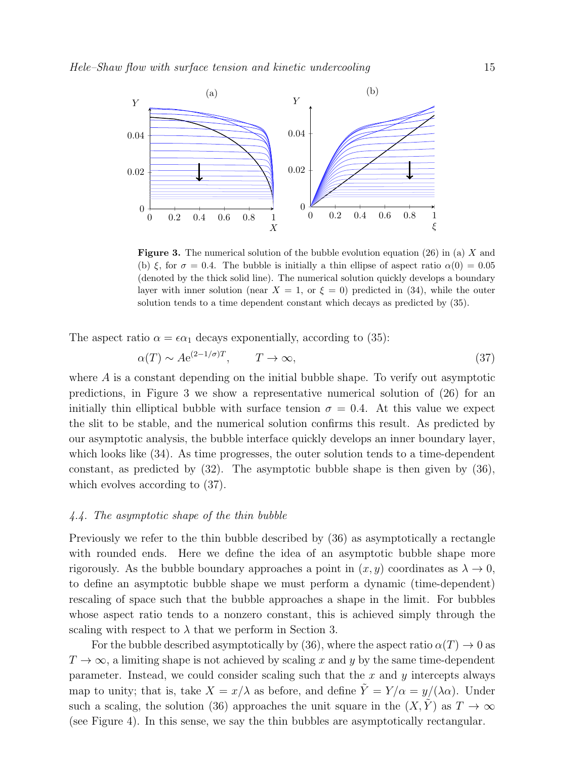

**Figure 3.** The numerical solution of the bubble evolution equation  $(26)$  in (a) X and (b)  $\xi$ , for  $\sigma = 0.4$ . The bubble is initially a thin ellipse of aspect ratio  $\alpha(0) = 0.05$ (denoted by the thick solid line). The numerical solution quickly develops a boundary layer with inner solution (near  $X = 1$ , or  $\xi = 0$ ) predicted in (34), while the outer solution tends to a time dependent constant which decays as predicted by (35).

The aspect ratio  $\alpha = \epsilon \alpha_1$  decays exponentially, according to (35):

$$
\alpha(T) \sim A e^{(2-1/\sigma)T}, \qquad T \to \infty,
$$
\n(37)

where A is a constant depending on the initial bubble shape. To verify out asymptotic predictions, in Figure 3 we show a representative numerical solution of (26) for an initially thin elliptical bubble with surface tension  $\sigma = 0.4$ . At this value we expect the slit to be stable, and the numerical solution confirms this result. As predicted by our asymptotic analysis, the bubble interface quickly develops an inner boundary layer, which looks like (34). As time progresses, the outer solution tends to a time-dependent constant, as predicted by (32). The asymptotic bubble shape is then given by (36), which evolves according to  $(37)$ .

#### 4.4. The asymptotic shape of the thin bubble

Previously we refer to the thin bubble described by (36) as asymptotically a rectangle with rounded ends. Here we define the idea of an asymptotic bubble shape more rigorously. As the bubble boundary approaches a point in  $(x, y)$  coordinates as  $\lambda \to 0$ , to define an asymptotic bubble shape we must perform a dynamic (time-dependent) rescaling of space such that the bubble approaches a shape in the limit. For bubbles whose aspect ratio tends to a nonzero constant, this is achieved simply through the scaling with respect to  $\lambda$  that we perform in Section 3.

For the bubble described asymptotically by (36), where the aspect ratio  $\alpha(T) \to 0$  as  $T \to \infty$ , a limiting shape is not achieved by scaling x and y by the same time-dependent parameter. Instead, we could consider scaling such that the  $x$  and  $y$  intercepts always map to unity; that is, take  $X = x/\lambda$  as before, and define  $\tilde{Y} = Y/\alpha = y/(\lambda \alpha)$ . Under such a scaling, the solution (36) approaches the unit square in the  $(X, \tilde{Y})$  as  $T \to \infty$ (see Figure 4). In this sense, we say the thin bubbles are asymptotically rectangular.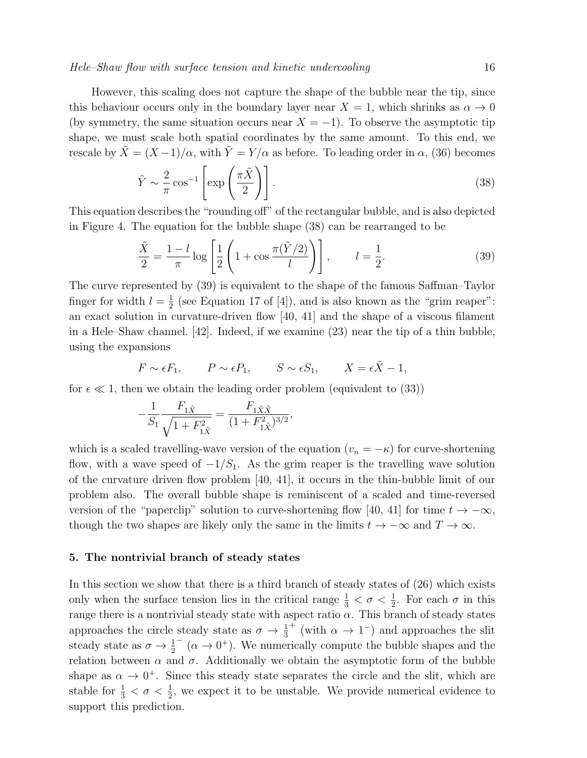#### Hele–Shaw flow with surface tension and kinetic undercooling 16

However, this scaling does not capture the shape of the bubble near the tip, since this behaviour occurs only in the boundary layer near  $X = 1$ , which shrinks as  $\alpha \to 0$ (by symmetry, the same situation occurs near  $X = -1$ ). To observe the asymptotic tip shape, we must scale both spatial coordinates by the same amount. To this end, we rescale by  $\tilde{X} = (X-1)/\alpha$ , with  $\tilde{Y} = Y/\alpha$  as before. To leading order in  $\alpha$ , (36) becomes

$$
\tilde{Y} \sim \frac{2}{\pi} \cos^{-1} \left[ \exp\left(\frac{\pi \tilde{X}}{2}\right) \right].
$$
\n(38)

This equation describes the "rounding off" of the rectangular bubble, and is also depicted in Figure 4. The equation for the bubble shape (38) can be rearranged to be

$$
\frac{\tilde{X}}{2} = \frac{1-l}{\pi} \log \left[ \frac{1}{2} \left( 1 + \cos \frac{\pi (\tilde{Y}/2)}{l} \right) \right], \qquad l = \frac{1}{2}.
$$
 (39)

The curve represented by (39) is equivalent to the shape of the famous Saffman–Taylor finger for width  $l=\frac{1}{2}$  $\frac{1}{2}$  (see Equation 17 of [4]), and is also known as the "grim reaper": an exact solution in curvature-driven flow [40, 41] and the shape of a viscous filament in a Hele–Shaw channel. [42]. Indeed, if we examine (23) near the tip of a thin bubble, using the expansions

$$
F \sim \epsilon F_1
$$
,  $P \sim \epsilon P_1$ ,  $S \sim \epsilon S_1$ ,  $X = \epsilon \tilde{X} - 1$ ,

for  $\epsilon \ll 1$ , then we obtain the leading order problem (equivalent to (33))

$$
-\frac{1}{S_1} \frac{F_{1\tilde{X}}}{\sqrt{1 + F_{1\tilde{X}}^2}} = \frac{F_{1\tilde{X}\tilde{X}}}{(1 + F_{1\tilde{X}}^2)^{3/2}},
$$

which is a scaled travelling-wave version of the equation  $(v_n = -\kappa)$  for curve-shortening flow, with a wave speed of  $-1/S_1$ . As the grim reaper is the travelling wave solution of the curvature driven flow problem [40, 41], it occurs in the thin-bubble limit of our problem also. The overall bubble shape is reminiscent of a scaled and time-reversed version of the "paperclip" solution to curve-shortening flow [40, 41] for time  $t \to -\infty$ , though the two shapes are likely only the same in the limits  $t \to -\infty$  and  $T \to \infty$ .

#### 5. The nontrivial branch of steady states

In this section we show that there is a third branch of steady states of (26) which exists only when the surface tension lies in the critical range  $\frac{1}{3} < \sigma < \frac{1}{2}$ . For each  $\sigma$  in this range there is a nontrivial steady state with aspect ratio  $\alpha$ . This branch of steady states approaches the circle steady state as  $\sigma \to \frac{1}{3}$ <sup>+</sup> (with  $\alpha \to 1^-$ ) and approaches the slit steady state as  $\sigma \to \frac{1}{2}$  $(\alpha \to 0^+)$ . We numerically compute the bubble shapes and the relation between  $\alpha$  and  $\sigma$ . Additionally we obtain the asymptotic form of the bubble shape as  $\alpha \to 0^+$ . Since this steady state separates the circle and the slit, which are stable for  $\frac{1}{3} < \sigma < \frac{1}{2}$ , we expect it to be unstable. We provide numerical evidence to support this prediction.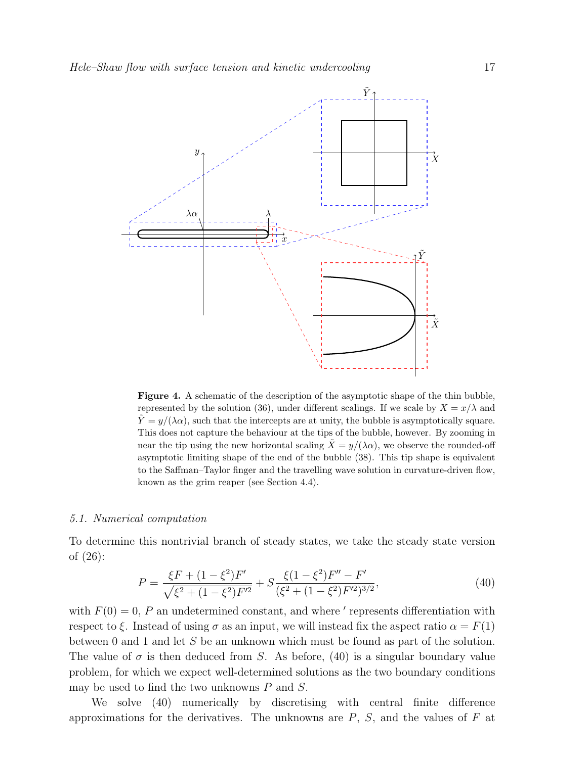

Figure 4. A schematic of the description of the asymptotic shape of the thin bubble, represented by the solution (36), under different scalings. If we scale by  $X = x/\lambda$  and  $\tilde{Y} = y/(\lambda \alpha)$ , such that the intercepts are at unity, the bubble is asymptotically square. This does not capture the behaviour at the tips of the bubble, however. By zooming in near the tip using the new horizontal scaling  $\tilde{X} = y/(\lambda \alpha)$ , we observe the rounded-off asymptotic limiting shape of the end of the bubble (38). This tip shape is equivalent to the Saffman–Taylor finger and the travelling wave solution in curvature-driven flow, known as the grim reaper (see Section 4.4).

#### 5.1. Numerical computation

To determine this nontrivial branch of steady states, we take the steady state version of (26):

$$
P = \frac{\xi F + (1 - \xi^2)F'}{\sqrt{\xi^2 + (1 - \xi^2)F'^2}} + S \frac{\xi (1 - \xi^2)F'' - F'}{(\xi^2 + (1 - \xi^2)F'^2)^{3/2}},
$$
(40)

with  $F(0) = 0$ , P an undetermined constant, and where ' represents differentiation with respect to  $\xi$ . Instead of using  $\sigma$  as an input, we will instead fix the aspect ratio  $\alpha = F(1)$ between 0 and 1 and let S be an unknown which must be found as part of the solution. The value of  $\sigma$  is then deduced from S. As before, (40) is a singular boundary value problem, for which we expect well-determined solutions as the two boundary conditions may be used to find the two unknowns P and S.

We solve (40) numerically by discretising with central finite difference approximations for the derivatives. The unknowns are  $P$ ,  $S$ , and the values of  $F$  at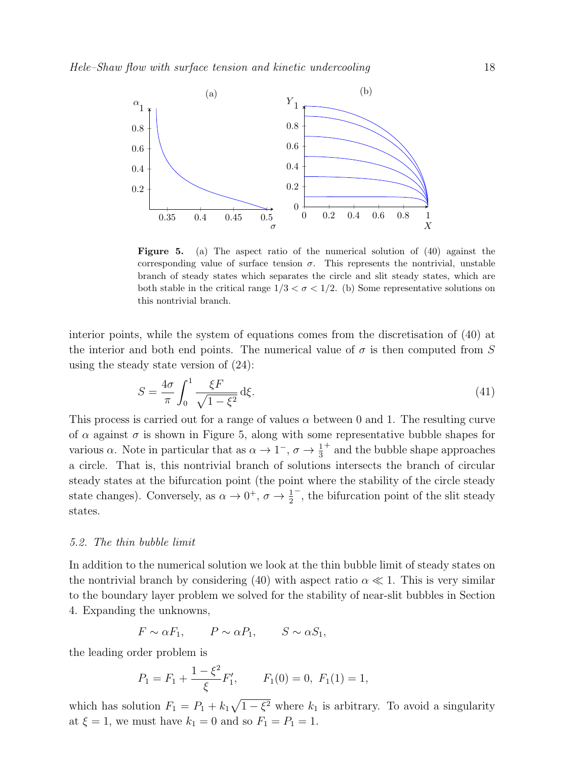

Figure 5. (a) The aspect ratio of the numerical solution of (40) against the corresponding value of surface tension  $\sigma$ . This represents the nontrivial, unstable branch of steady states which separates the circle and slit steady states, which are both stable in the critical range  $1/3 < \sigma < 1/2$ . (b) Some representative solutions on this nontrivial branch.

interior points, while the system of equations comes from the discretisation of (40) at the interior and both end points. The numerical value of  $\sigma$  is then computed from S using the steady state version of (24):

$$
S = \frac{4\sigma}{\pi} \int_0^1 \frac{\xi F}{\sqrt{1 - \xi^2}} d\xi.
$$
\n(41)

This process is carried out for a range of values  $\alpha$  between 0 and 1. The resulting curve of  $\alpha$  against  $\sigma$  is shown in Figure 5, along with some representative bubble shapes for various  $\alpha$ . Note in particular that as  $\alpha \to 1^-$ ,  $\sigma \to \frac{1}{3}$ <sup>+</sup> and the bubble shape approaches a circle. That is, this nontrivial branch of solutions intersects the branch of circular steady states at the bifurcation point (the point where the stability of the circle steady state changes). Conversely, as  $\alpha \to 0^+$ ,  $\sigma \to \frac{1}{2}$ − , the bifurcation point of the slit steady states.

#### 5.2. The thin bubble limit

In addition to the numerical solution we look at the thin bubble limit of steady states on the nontrivial branch by considering (40) with aspect ratio  $\alpha \ll 1$ . This is very similar to the boundary layer problem we solved for the stability of near-slit bubbles in Section 4. Expanding the unknowns,

$$
F \sim \alpha F_1
$$
,  $P \sim \alpha P_1$ ,  $S \sim \alpha S_1$ ,

the leading order problem is

$$
P_1 = F_1 + \frac{1 - \xi^2}{\xi} F_1', \qquad F_1(0) = 0, \ F_1(1) = 1,
$$

which has solution  $F_1 = P_1 + k_1 \sqrt{1 - \xi^2}$  where  $k_1$  is arbitrary. To avoid a singularity at  $\xi = 1$ , we must have  $k_1 = 0$  and so  $F_1 = P_1 = 1$ .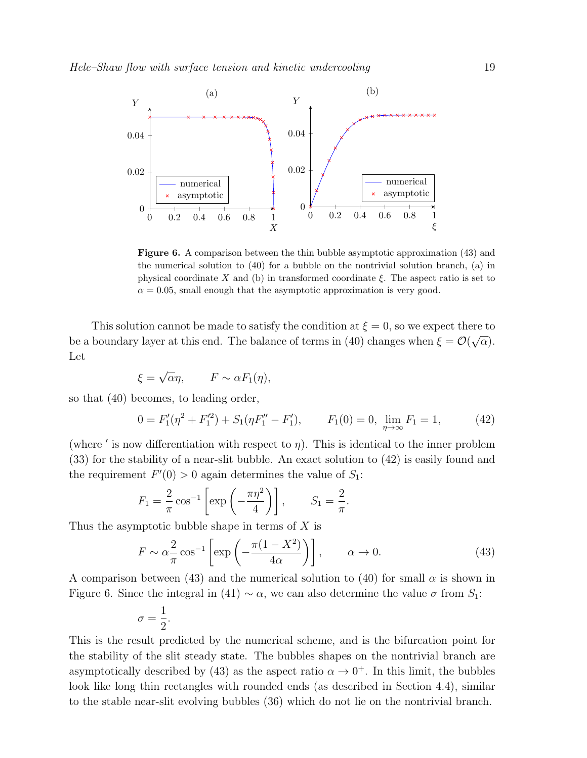

Figure 6. A comparison between the thin bubble asymptotic approximation (43) and the numerical solution to (40) for a bubble on the nontrivial solution branch, (a) in physical coordinate X and (b) in transformed coordinate  $\xi$ . The aspect ratio is set to  $\alpha = 0.05$ , small enough that the asymptotic approximation is very good.

This solution cannot be made to satisfy the condition at  $\xi = 0$ , so we expect there to be a boundary layer at this end. The balance of terms in (40) changes when  $\xi = \mathcal{O}(\sqrt{\alpha})$ . Let

$$
\xi = \sqrt{\alpha}\eta, \qquad F \sim \alpha F_1(\eta),
$$

so that (40) becomes, to leading order,

$$
0 = F_1'(\eta^2 + F_1'^2) + S_1(\eta F_1'' - F_1'), \qquad F_1(0) = 0, \ \lim_{\eta \to \infty} F_1 = 1,
$$
 (42)

(where ' is now differentiation with respect to  $\eta$ ). This is identical to the inner problem (33) for the stability of a near-slit bubble. An exact solution to (42) is easily found and the requirement  $F'(0) > 0$  again determines the value of  $S_1$ :

$$
F_1 = \frac{2}{\pi} \cos^{-1} \left[ \exp\left( -\frac{\pi \eta^2}{4} \right) \right], \qquad S_1 = \frac{2}{\pi}.
$$

Thus the asymptotic bubble shape in terms of  $X$  is

$$
F \sim \alpha \frac{2}{\pi} \cos^{-1} \left[ \exp \left( -\frac{\pi (1 - X^2)}{4\alpha} \right) \right], \qquad \alpha \to 0.
$$
 (43)

A comparison between (43) and the numerical solution to (40) for small  $\alpha$  is shown in Figure 6. Since the integral in (41)  $\sim \alpha$ , we can also determine the value  $\sigma$  from  $S_1$ :

$$
\sigma = \frac{1}{2}.
$$

This is the result predicted by the numerical scheme, and is the bifurcation point for the stability of the slit steady state. The bubbles shapes on the nontrivial branch are asymptotically described by (43) as the aspect ratio  $\alpha \to 0^+$ . In this limit, the bubbles look like long thin rectangles with rounded ends (as described in Section 4.4), similar to the stable near-slit evolving bubbles (36) which do not lie on the nontrivial branch.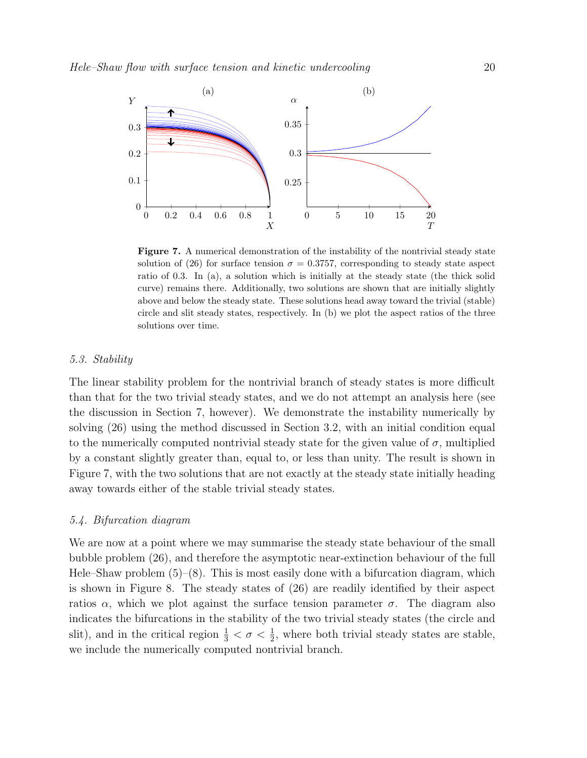

Figure 7. A numerical demonstration of the instability of the nontrivial steady state solution of (26) for surface tension  $\sigma = 0.3757$ , corresponding to steady state aspect ratio of 0.3. In (a), a solution which is initially at the steady state (the thick solid curve) remains there. Additionally, two solutions are shown that are initially slightly above and below the steady state. These solutions head away toward the trivial (stable) circle and slit steady states, respectively. In (b) we plot the aspect ratios of the three solutions over time.

#### 5.3. Stability

The linear stability problem for the nontrivial branch of steady states is more difficult than that for the two trivial steady states, and we do not attempt an analysis here (see the discussion in Section 7, however). We demonstrate the instability numerically by solving (26) using the method discussed in Section 3.2, with an initial condition equal to the numerically computed nontrivial steady state for the given value of  $\sigma$ , multiplied by a constant slightly greater than, equal to, or less than unity. The result is shown in Figure 7, with the two solutions that are not exactly at the steady state initially heading away towards either of the stable trivial steady states.

### 5.4. Bifurcation diagram

We are now at a point where we may summarise the steady state behaviour of the small bubble problem (26), and therefore the asymptotic near-extinction behaviour of the full Hele–Shaw problem  $(5)$ – $(8)$ . This is most easily done with a bifurcation diagram, which is shown in Figure 8. The steady states of (26) are readily identified by their aspect ratios  $\alpha$ , which we plot against the surface tension parameter  $\sigma$ . The diagram also indicates the bifurcations in the stability of the two trivial steady states (the circle and slit), and in the critical region  $\frac{1}{3} < \sigma < \frac{1}{2}$ , where both trivial steady states are stable, we include the numerically computed nontrivial branch.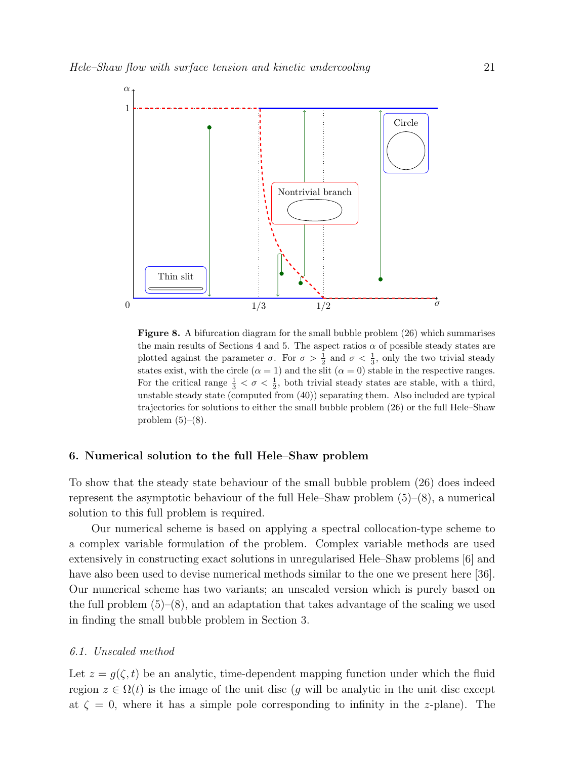

Figure 8. A bifurcation diagram for the small bubble problem (26) which summarises the main results of Sections 4 and 5. The aspect ratios  $\alpha$  of possible steady states are plotted against the parameter  $\sigma$ . For  $\sigma > \frac{1}{2}$  and  $\sigma < \frac{1}{3}$ , only the two trivial steady states exist, with the circle ( $\alpha = 1$ ) and the slit ( $\alpha = 0$ ) stable in the respective ranges. For the critical range  $\frac{1}{3} < \sigma < \frac{1}{2}$ , both trivial steady states are stable, with a third, unstable steady state (computed from (40)) separating them. Also included are typical trajectories for solutions to either the small bubble problem (26) or the full Hele–Shaw problem  $(5)-(8)$ .

#### 6. Numerical solution to the full Hele–Shaw problem

To show that the steady state behaviour of the small bubble problem (26) does indeed represent the asymptotic behaviour of the full Hele–Shaw problem  $(5)-(8)$ , a numerical solution to this full problem is required.

Our numerical scheme is based on applying a spectral collocation-type scheme to a complex variable formulation of the problem. Complex variable methods are used extensively in constructing exact solutions in unregularised Hele–Shaw problems [6] and have also been used to devise numerical methods similar to the one we present here [36]. Our numerical scheme has two variants; an unscaled version which is purely based on the full problem  $(5)-(8)$ , and an adaptation that takes advantage of the scaling we used in finding the small bubble problem in Section 3.

#### 6.1. Unscaled method

Let  $z = g(\zeta, t)$  be an analytic, time-dependent mapping function under which the fluid region  $z \in \Omega(t)$  is the image of the unit disc (g will be analytic in the unit disc except at  $\zeta = 0$ , where it has a simple pole corresponding to infinity in the z-plane). The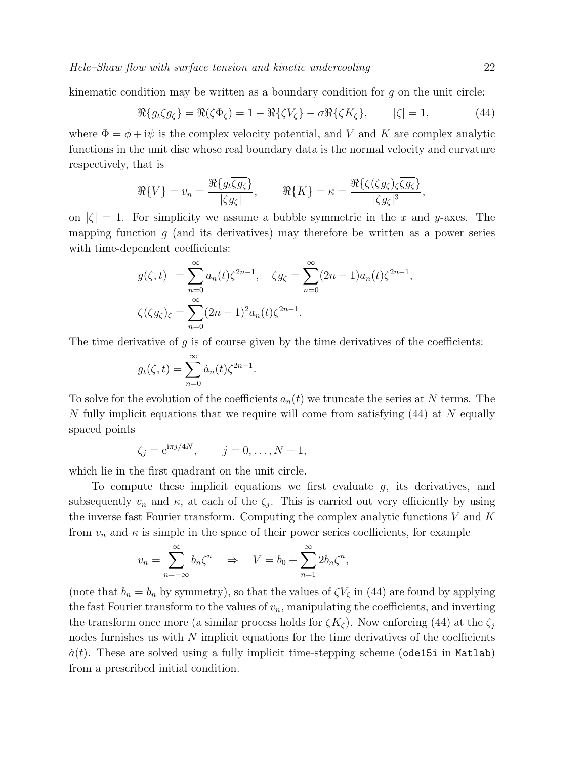kinematic condition may be written as a boundary condition for  $g$  on the unit circle:

$$
\Re\{g_t\overline{\zeta g_{\zeta}}\} = \Re(\zeta \Phi_{\zeta}) = 1 - \Re\{\zeta V_{\zeta}\} - \sigma \Re\{\zeta K_{\zeta}\}, \qquad |\zeta| = 1, \tag{44}
$$

where  $\Phi = \phi + i\psi$  is the complex velocity potential, and V and K are complex analytic functions in the unit disc whose real boundary data is the normal velocity and curvature respectively, that is

$$
\Re\{V\} = v_n = \frac{\Re\{g_t\overline{\zeta g_{\zeta}}\}}{|\zeta g_{\zeta}|}, \qquad \Re\{K\} = \kappa = \frac{\Re\{\zeta(\zeta g_{\zeta})\overline{\zeta g_{\zeta}}\}}{|\zeta g_{\zeta}|^3},
$$

on  $|\zeta| = 1$ . For simplicity we assume a bubble symmetric in the x and y-axes. The mapping function  $q$  (and its derivatives) may therefore be written as a power series with time-dependent coefficients:

$$
g(\zeta, t) = \sum_{n=0}^{\infty} a_n(t) \zeta^{2n-1}, \quad \zeta g_{\zeta} = \sum_{n=0}^{\infty} (2n-1) a_n(t) \zeta^{2n-1},
$$
  

$$
\zeta(\zeta g_{\zeta})_{\zeta} = \sum_{n=0}^{\infty} (2n-1)^2 a_n(t) \zeta^{2n-1}.
$$

The time derivative of  $g$  is of course given by the time derivatives of the coefficients:

.

$$
g_t(\zeta, t) = \sum_{n=0}^{\infty} \dot{a}_n(t) \zeta^{2n-1}
$$

To solve for the evolution of the coefficients  $a_n(t)$  we truncate the series at N terms. The N fully implicit equations that we require will come from satisfying (44) at N equally spaced points

$$
\zeta_j = e^{i\pi j/4N}, \qquad j = 0, ..., N - 1,
$$

which lie in the first quadrant on the unit circle.

To compute these implicit equations we first evaluate  $g$ , its derivatives, and subsequently  $v_n$  and  $\kappa$ , at each of the  $\zeta_j$ . This is carried out very efficiently by using the inverse fast Fourier transform. Computing the complex analytic functions  $V$  and  $K$ from  $v_n$  and  $\kappa$  is simple in the space of their power series coefficients, for example

$$
v_n = \sum_{n=-\infty}^{\infty} b_n \zeta^n \quad \Rightarrow \quad V = b_0 + \sum_{n=1}^{\infty} 2b_n \zeta^n,
$$

(note that  $b_n = \overline{b}_n$  by symmetry), so that the values of  $\zeta V_{\zeta}$  in (44) are found by applying the fast Fourier transform to the values of  $v_n$ , manipulating the coefficients, and inverting the transform once more (a similar process holds for  $\zeta K_{\zeta}$ ). Now enforcing (44) at the  $\zeta_i$ nodes furnishes us with  $N$  implicit equations for the time derivatives of the coefficients  $\dot{a}(t)$ . These are solved using a fully implicit time-stepping scheme (ode15i in Matlab) from a prescribed initial condition.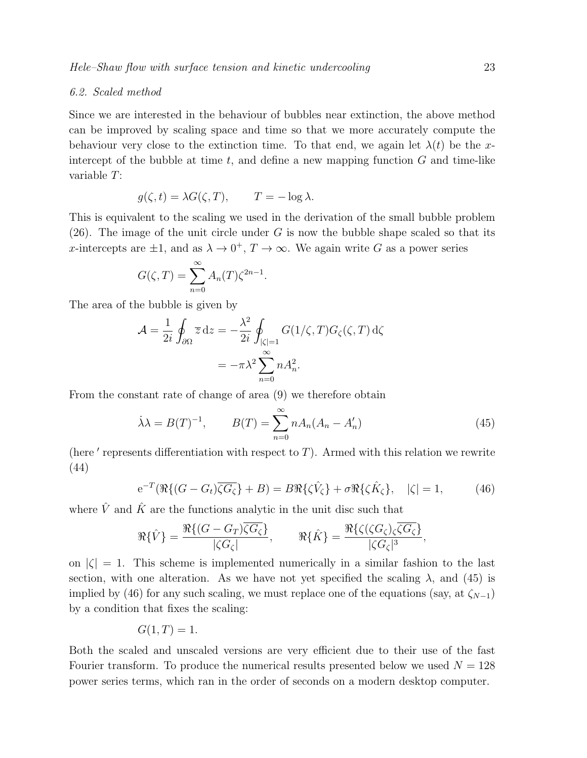#### 6.2. Scaled method

Since we are interested in the behaviour of bubbles near extinction, the above method can be improved by scaling space and time so that we more accurately compute the behaviour very close to the extinction time. To that end, we again let  $\lambda(t)$  be the xintercept of the bubble at time  $t$ , and define a new mapping function  $G$  and time-like variable T:

$$
g(\zeta, t) = \lambda G(\zeta, T), \qquad T = -\log \lambda.
$$

This is equivalent to the scaling we used in the derivation of the small bubble problem  $(26)$ . The image of the unit circle under G is now the bubble shape scaled so that its x-intercepts are  $\pm 1$ , and as  $\lambda \to 0^+$ ,  $T \to \infty$ . We again write G as a power series

$$
G(\zeta,T) = \sum_{n=0}^{\infty} A_n(T) \zeta^{2n-1}.
$$

The area of the bubble is given by

$$
\mathcal{A} = \frac{1}{2i} \oint_{\partial \Omega} \overline{z} dz = -\frac{\lambda^2}{2i} \oint_{|\zeta|=1} G(1/\zeta, T) G_{\zeta}(\zeta, T) d\zeta
$$

$$
= -\pi \lambda^2 \sum_{n=0}^{\infty} n A_n^2.
$$

From the constant rate of change of area (9) we therefore obtain

$$
\dot{\lambda}\lambda = B(T)^{-1}, \qquad B(T) = \sum_{n=0}^{\infty} n A_n (A_n - A'_n)
$$
\n(45)

(here  $'$  represents differentiation with respect to  $T$ ). Armed with this relation we rewrite (44)

$$
e^{-T}(\Re\{(G - G_t)\overline{\zeta G_{\zeta}}\} + B) = B\Re\{\zeta \hat{V}_{\zeta}\} + \sigma \Re\{\zeta \hat{K}_{\zeta}\}, \quad |\zeta| = 1, \tag{46}
$$

where  $\hat{V}$  and  $\hat{K}$  are the functions analytic in the unit disc such that

$$
\Re{\hat{V}} = \frac{\Re\{(G - G_T)\overline{\zeta G_{\zeta}}\}}{|\zeta G_{\zeta}|}, \qquad \Re{\hat{K}} = \frac{\Re\{\zeta(\zeta G_{\zeta})_{\zeta}\overline{\zeta G_{\zeta}}\}}{|\zeta G_{\zeta}|^3},
$$

on  $|\zeta| = 1$ . This scheme is implemented numerically in a similar fashion to the last section, with one alteration. As we have not yet specified the scaling  $\lambda$ , and (45) is implied by (46) for any such scaling, we must replace one of the equations (say, at  $\zeta_{N-1}$ ) by a condition that fixes the scaling:

$$
G(1,T) = 1.
$$

Both the scaled and unscaled versions are very efficient due to their use of the fast Fourier transform. To produce the numerical results presented below we used  $N = 128$ power series terms, which ran in the order of seconds on a modern desktop computer.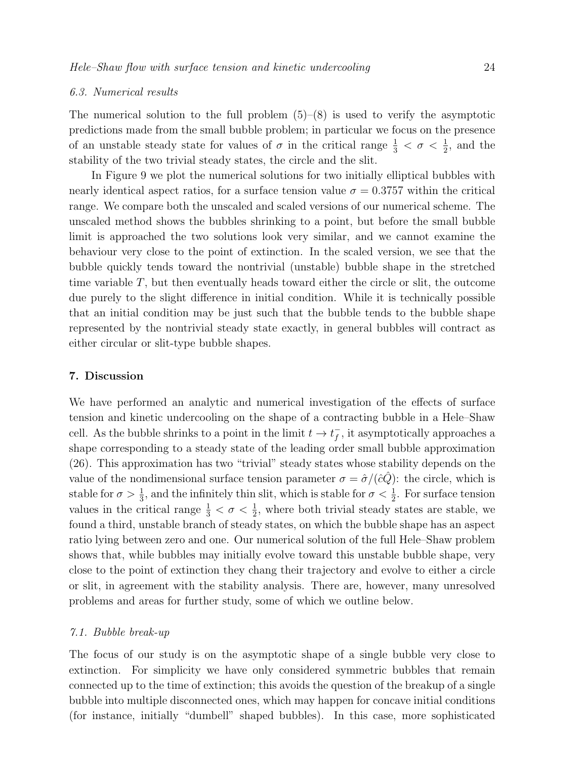#### 6.3. Numerical results

The numerical solution to the full problem  $(5)-(8)$  is used to verify the asymptotic predictions made from the small bubble problem; in particular we focus on the presence of an unstable steady state for values of  $\sigma$  in the critical range  $\frac{1}{3} < \sigma < \frac{1}{2}$ , and the stability of the two trivial steady states, the circle and the slit.

In Figure 9 we plot the numerical solutions for two initially elliptical bubbles with nearly identical aspect ratios, for a surface tension value  $\sigma = 0.3757$  within the critical range. We compare both the unscaled and scaled versions of our numerical scheme. The unscaled method shows the bubbles shrinking to a point, but before the small bubble limit is approached the two solutions look very similar, and we cannot examine the behaviour very close to the point of extinction. In the scaled version, we see that the bubble quickly tends toward the nontrivial (unstable) bubble shape in the stretched time variable  $T$ , but then eventually heads toward either the circle or slit, the outcome due purely to the slight difference in initial condition. While it is technically possible that an initial condition may be just such that the bubble tends to the bubble shape represented by the nontrivial steady state exactly, in general bubbles will contract as either circular or slit-type bubble shapes.

#### 7. Discussion

We have performed an analytic and numerical investigation of the effects of surface tension and kinetic undercooling on the shape of a contracting bubble in a Hele–Shaw cell. As the bubble shrinks to a point in the limit  $t \to t_f^ \bar{f}$ , it asymptotically approaches a shape corresponding to a steady state of the leading order small bubble approximation (26). This approximation has two "trivial" steady states whose stability depends on the value of the nondimensional surface tension parameter  $\sigma = \hat{\sigma}/(\hat{c}\hat{Q})$ : the circle, which is stable for  $\sigma > \frac{1}{3}$ , and the infinitely thin slit, which is stable for  $\sigma < \frac{1}{2}$ . For surface tension values in the critical range  $\frac{1}{3} < \sigma < \frac{1}{2}$ , where both trivial steady states are stable, we found a third, unstable branch of steady states, on which the bubble shape has an aspect ratio lying between zero and one. Our numerical solution of the full Hele–Shaw problem shows that, while bubbles may initially evolve toward this unstable bubble shape, very close to the point of extinction they chang their trajectory and evolve to either a circle or slit, in agreement with the stability analysis. There are, however, many unresolved problems and areas for further study, some of which we outline below.

#### 7.1. Bubble break-up

The focus of our study is on the asymptotic shape of a single bubble very close to extinction. For simplicity we have only considered symmetric bubbles that remain connected up to the time of extinction; this avoids the question of the breakup of a single bubble into multiple disconnected ones, which may happen for concave initial conditions (for instance, initially "dumbell" shaped bubbles). In this case, more sophisticated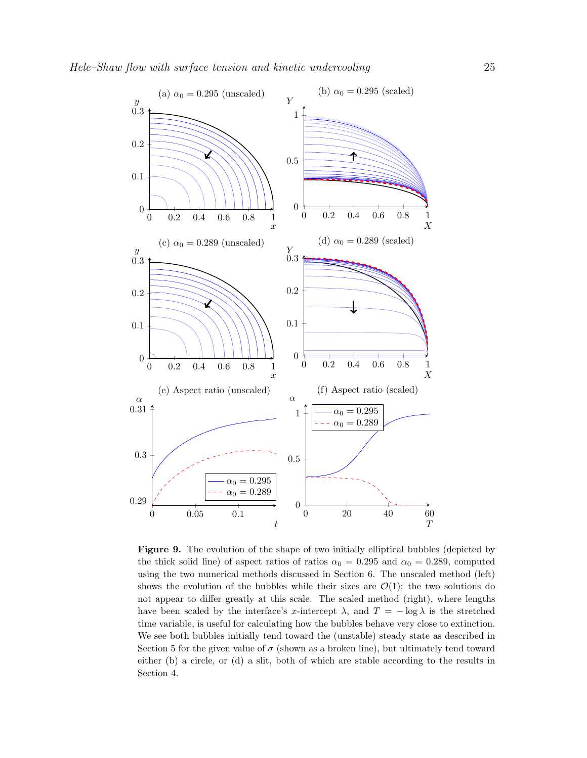

Figure 9. The evolution of the shape of two initially elliptical bubbles (depicted by the thick solid line) of aspect ratios of ratios  $\alpha_0 = 0.295$  and  $\alpha_0 = 0.289$ , computed using the two numerical methods discussed in Section 6. The unscaled method (left) shows the evolution of the bubbles while their sizes are  $\mathcal{O}(1)$ ; the two solutions do not appear to differ greatly at this scale. The scaled method (right), where lengths have been scaled by the interface's x-intercept  $\lambda$ , and  $T = -\log \lambda$  is the stretched time variable, is useful for calculating how the bubbles behave very close to extinction. We see both bubbles initially tend toward the (unstable) steady state as described in Section 5 for the given value of  $\sigma$  (shown as a broken line), but ultimately tend toward either (b) a circle, or (d) a slit, both of which are stable according to the results in Section 4.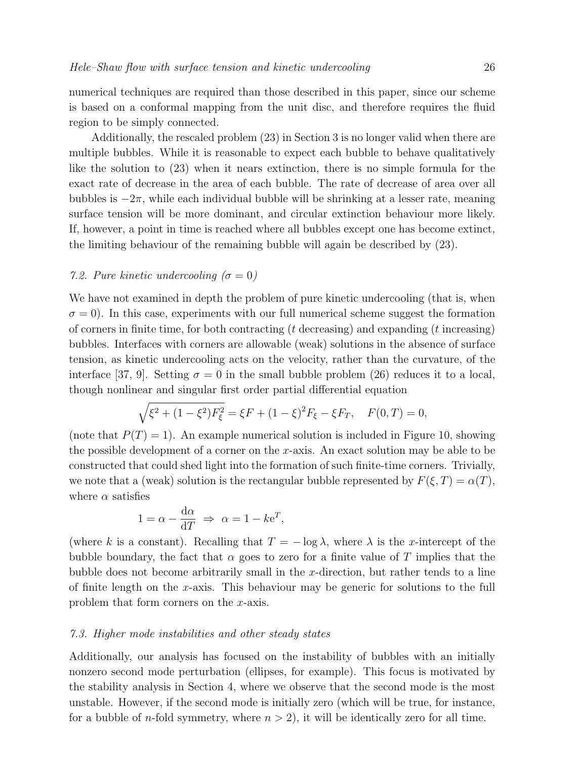numerical techniques are required than those described in this paper, since our scheme is based on a conformal mapping from the unit disc, and therefore requires the fluid region to be simply connected.

Additionally, the rescaled problem (23) in Section 3 is no longer valid when there are multiple bubbles. While it is reasonable to expect each bubble to behave qualitatively like the solution to (23) when it nears extinction, there is no simple formula for the exact rate of decrease in the area of each bubble. The rate of decrease of area over all bubbles is  $-2\pi$ , while each individual bubble will be shrinking at a lesser rate, meaning surface tension will be more dominant, and circular extinction behaviour more likely. If, however, a point in time is reached where all bubbles except one has become extinct, the limiting behaviour of the remaining bubble will again be described by (23).

#### 7.2. Pure kinetic undercooling  $(\sigma = 0)$

We have not examined in depth the problem of pure kinetic undercooling (that is, when  $\sigma = 0$ ). In this case, experiments with our full numerical scheme suggest the formation of corners in finite time, for both contracting  $(t$  decreasing) and expanding  $(t$  increasing) bubbles. Interfaces with corners are allowable (weak) solutions in the absence of surface tension, as kinetic undercooling acts on the velocity, rather than the curvature, of the interface [37, 9]. Setting  $\sigma = 0$  in the small bubble problem (26) reduces it to a local, though nonlinear and singular first order partial differential equation

$$
\sqrt{\xi^2 + (1 - \xi^2)F_{\xi}^2} = \xi F + (1 - \xi)^2 F_{\xi} - \xi F_T, \quad F(0, T) = 0,
$$

(note that  $P(T) = 1$ ). An example numerical solution is included in Figure 10, showing the possible development of a corner on the x-axis. An exact solution may be able to be constructed that could shed light into the formation of such finite-time corners. Trivially, we note that a (weak) solution is the rectangular bubble represented by  $F(\xi,T) = \alpha(T)$ , where  $\alpha$  satisfies

$$
1 = \alpha - \frac{d\alpha}{dT} \implies \alpha = 1 - k e^T,
$$

(where k is a constant). Recalling that  $T = -\log \lambda$ , where  $\lambda$  is the x-intercept of the bubble boundary, the fact that  $\alpha$  goes to zero for a finite value of T implies that the bubble does not become arbitrarily small in the x-direction, but rather tends to a line of finite length on the x-axis. This behaviour may be generic for solutions to the full problem that form corners on the x-axis.

#### 7.3. Higher mode instabilities and other steady states

Additionally, our analysis has focused on the instability of bubbles with an initially nonzero second mode perturbation (ellipses, for example). This focus is motivated by the stability analysis in Section 4, where we observe that the second mode is the most unstable. However, if the second mode is initially zero (which will be true, for instance, for a bubble of *n*-fold symmetry, where  $n > 2$ , it will be identically zero for all time.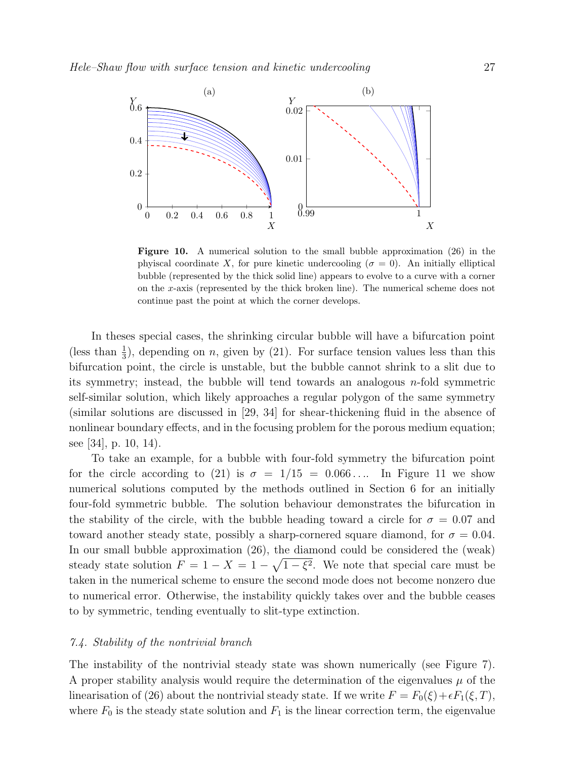

Figure 10. A numerical solution to the small bubble approximation (26) in the phyiscal coordinate X, for pure kinetic undercooling ( $\sigma = 0$ ). An initially elliptical bubble (represented by the thick solid line) appears to evolve to a curve with a corner on the x-axis (represented by the thick broken line). The numerical scheme does not continue past the point at which the corner develops.

In theses special cases, the shrinking circular bubble will have a bifurcation point (less than  $\frac{1}{3}$ ), depending on *n*, given by (21). For surface tension values less than this bifurcation point, the circle is unstable, but the bubble cannot shrink to a slit due to its symmetry; instead, the bubble will tend towards an analogous  $n$ -fold symmetric self-similar solution, which likely approaches a regular polygon of the same symmetry (similar solutions are discussed in [29, 34] for shear-thickening fluid in the absence of nonlinear boundary effects, and in the focusing problem for the porous medium equation; see [34], p. 10, 14).

To take an example, for a bubble with four-fold symmetry the bifurcation point for the circle according to (21) is  $\sigma = 1/15 = 0.066...$  In Figure 11 we show numerical solutions computed by the methods outlined in Section 6 for an initially four-fold symmetric bubble. The solution behaviour demonstrates the bifurcation in the stability of the circle, with the bubble heading toward a circle for  $\sigma = 0.07$  and toward another steady state, possibly a sharp-cornered square diamond, for  $\sigma = 0.04$ . In our small bubble approximation (26), the diamond could be considered the (weak) steady state solution  $F = 1 - X = 1 - \sqrt{1 - \xi^2}$ . We note that special care must be taken in the numerical scheme to ensure the second mode does not become nonzero due to numerical error. Otherwise, the instability quickly takes over and the bubble ceases to by symmetric, tending eventually to slit-type extinction.

#### 7.4. Stability of the nontrivial branch

The instability of the nontrivial steady state was shown numerically (see Figure 7). A proper stability analysis would require the determination of the eigenvalues  $\mu$  of the linearisation of (26) about the nontrivial steady state. If we write  $F = F_0(\xi) + \epsilon F_1(\xi, T)$ , where  $F_0$  is the steady state solution and  $F_1$  is the linear correction term, the eigenvalue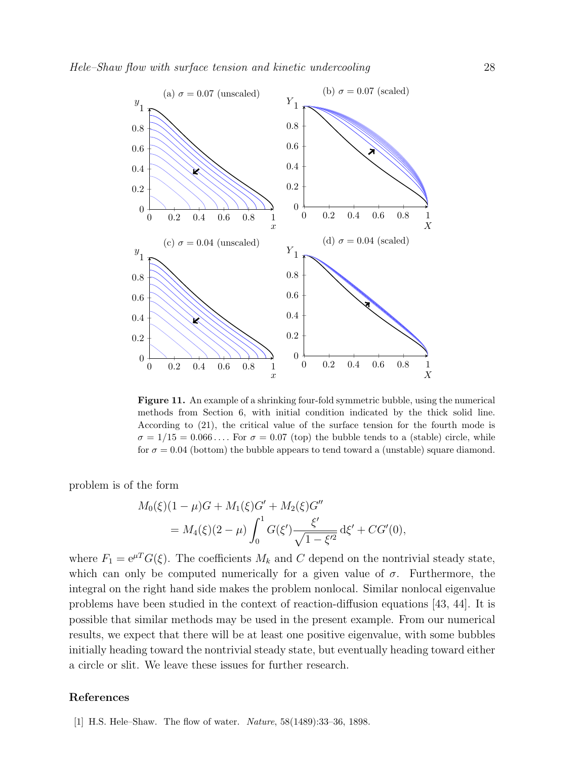

Figure 11. An example of a shrinking four-fold symmetric bubble, using the numerical methods from Section 6, with initial condition indicated by the thick solid line. According to (21), the critical value of the surface tension for the fourth mode is  $\sigma = 1/15 = 0.066...$  For  $\sigma = 0.07$  (top) the bubble tends to a (stable) circle, while for  $\sigma = 0.04$  (bottom) the bubble appears to tend toward a (unstable) square diamond.

problem is of the form

$$
M_0(\xi)(1-\mu)G + M_1(\xi)G' + M_2(\xi)G''
$$
  
=  $M_4(\xi)(2-\mu)\int_0^1 G(\xi') \frac{\xi'}{\sqrt{1-\xi'^2}} d\xi' + CG'(0),$ 

where  $F_1 = e^{\mu T} G(\xi)$ . The coefficients  $M_k$  and C depend on the nontrivial steady state, which can only be computed numerically for a given value of  $\sigma$ . Furthermore, the integral on the right hand side makes the problem nonlocal. Similar nonlocal eigenvalue problems have been studied in the context of reaction-diffusion equations [43, 44]. It is possible that similar methods may be used in the present example. From our numerical results, we expect that there will be at least one positive eigenvalue, with some bubbles initially heading toward the nontrivial steady state, but eventually heading toward either a circle or slit. We leave these issues for further research.

#### References

[1] H.S. Hele–Shaw. The flow of water. Nature, 58(1489):33–36, 1898.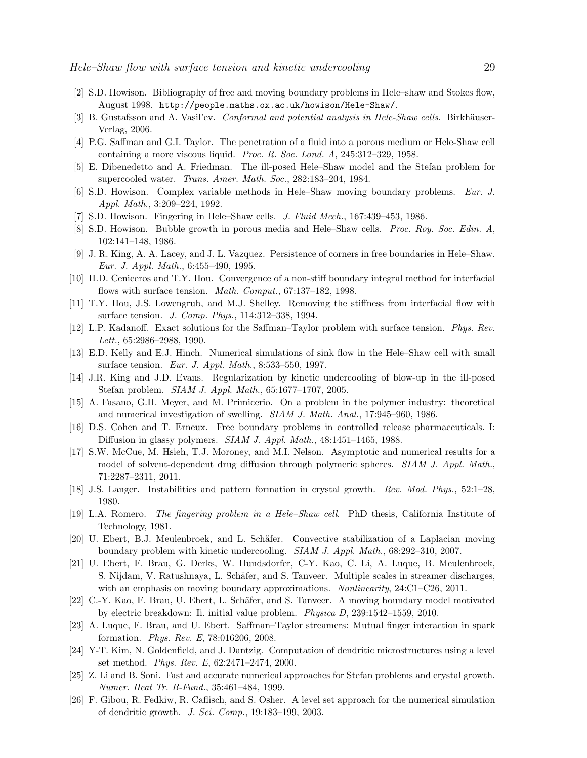- [2] S.D. Howison. Bibliography of free and moving boundary problems in Hele–shaw and Stokes flow, August 1998. http://people.maths.ox.ac.uk/howison/Hele-Shaw/.
- [3] B. Gustafsson and A. Vasil'ev. Conformal and potential analysis in Hele-Shaw cells. Birkhäuser-Verlag, 2006.
- [4] P.G. Saffman and G.I. Taylor. The penetration of a fluid into a porous medium or Hele-Shaw cell containing a more viscous liquid. Proc. R. Soc. Lond. A, 245:312–329, 1958.
- [5] E. Dibenedetto and A. Friedman. The ill-posed Hele–Shaw model and the Stefan problem for supercooled water. Trans. Amer. Math. Soc., 282:183–204, 1984.
- [6] S.D. Howison. Complex variable methods in Hele–Shaw moving boundary problems. Eur. J. Appl. Math., 3:209–224, 1992.
- [7] S.D. Howison. Fingering in Hele–Shaw cells. J. Fluid Mech., 167:439–453, 1986.
- [8] S.D. Howison. Bubble growth in porous media and Hele–Shaw cells. Proc. Roy. Soc. Edin. A, 102:141–148, 1986.
- [9] J. R. King, A. A. Lacey, and J. L. Vazquez. Persistence of corners in free boundaries in Hele–Shaw. Eur. J. Appl. Math., 6:455–490, 1995.
- [10] H.D. Ceniceros and T.Y. Hou. Convergence of a non-stiff boundary integral method for interfacial flows with surface tension. *Math. Comput.*, 67:137-182, 1998.
- [11] T.Y. Hou, J.S. Lowengrub, and M.J. Shelley. Removing the stiffness from interfacial flow with surface tension. J. Comp. Phys., 114:312–338, 1994.
- [12] L.P. Kadanoff. Exact solutions for the Saffman–Taylor problem with surface tension. Phys. Rev. Lett., 65:2986–2988, 1990.
- [13] E.D. Kelly and E.J. Hinch. Numerical simulations of sink flow in the Hele–Shaw cell with small surface tension. Eur. J. Appl. Math., 8:533–550, 1997.
- [14] J.R. King and J.D. Evans. Regularization by kinetic undercooling of blow-up in the ill-posed Stefan problem. SIAM J. Appl. Math., 65:1677–1707, 2005.
- [15] A. Fasano, G.H. Meyer, and M. Primicerio. On a problem in the polymer industry: theoretical and numerical investigation of swelling. SIAM J. Math. Anal., 17:945–960, 1986.
- [16] D.S. Cohen and T. Erneux. Free boundary problems in controlled release pharmaceuticals. I: Diffusion in glassy polymers. SIAM J. Appl. Math., 48:1451–1465, 1988.
- [17] S.W. McCue, M. Hsieh, T.J. Moroney, and M.I. Nelson. Asymptotic and numerical results for a model of solvent-dependent drug diffusion through polymeric spheres. *SIAM J. Appl. Math.*, 71:2287–2311, 2011.
- [18] J.S. Langer. Instabilities and pattern formation in crystal growth. Rev. Mod. Phys., 52:1–28, 1980.
- [19] L.A. Romero. The fingering problem in a Hele–Shaw cell. PhD thesis, California Institute of Technology, 1981.
- [20] U. Ebert, B.J. Meulenbroek, and L. Schäfer. Convective stabilization of a Laplacian moving boundary problem with kinetic undercooling. SIAM J. Appl. Math., 68:292–310, 2007.
- [21] U. Ebert, F. Brau, G. Derks, W. Hundsdorfer, C-Y. Kao, C. Li, A. Luque, B. Meulenbroek, S. Nijdam, V. Ratushnaya, L. Schäfer, and S. Tanveer. Multiple scales in streamer discharges, with an emphasis on moving boundary approximations. Nonlinearity, 24:C1–C26, 2011.
- [22] C.-Y. Kao, F. Brau, U. Ebert, L. Schäfer, and S. Tanveer. A moving boundary model motivated by electric breakdown: Ii. initial value problem. Physica D, 239:1542–1559, 2010.
- [23] A. Luque, F. Brau, and U. Ebert. Saffman–Taylor streamers: Mutual finger interaction in spark formation. Phys. Rev. E, 78:016206, 2008.
- [24] Y-T. Kim, N. Goldenfield, and J. Dantzig. Computation of dendritic microstructures using a level set method. Phys. Rev. E, 62:2471–2474, 2000.
- [25] Z. Li and B. Soni. Fast and accurate numerical approaches for Stefan problems and crystal growth. Numer. Heat Tr. B-Fund., 35:461–484, 1999.
- [26] F. Gibou, R. Fedkiw, R. Caflisch, and S. Osher. A level set approach for the numerical simulation of dendritic growth. J. Sci. Comp., 19:183–199, 2003.